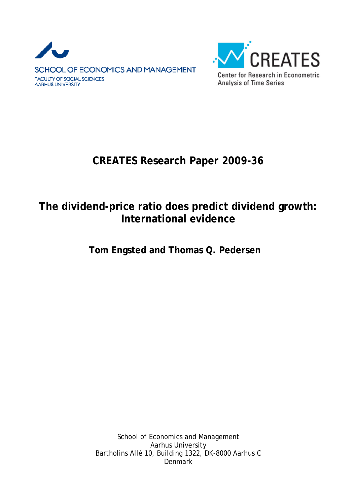



# **CREATES Research Paper 2009-36**

# **The dividend-price ratio does predict dividend growth: International evidence**

**Tom Engsted and Thomas Q. Pedersen** 

School of Economics and Management Aarhus University Bartholins Allé 10, Building 1322, DK-8000 Aarhus C **Denmark**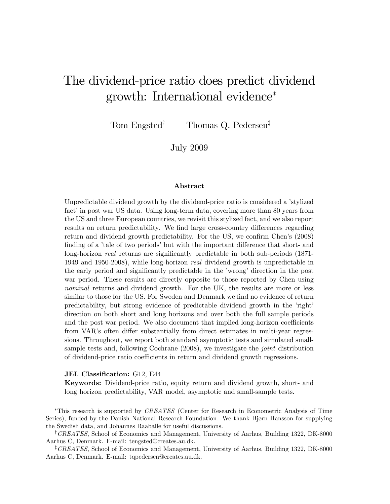## The dividend-price ratio does predict dividend growth: International evidence

Tom Engsted<sup>†</sup> Thomas Q. Pedersen<sup>‡</sup>

July 2009

#### Abstract

Unpredictable dividend growth by the dividend-price ratio is considered a ístylized fact' in post war US data. Using long-term data, covering more than 80 years from the US and three European countries, we revisit this stylized fact, and we also report results on return predictability. We find large cross-country differences regarding return and dividend growth predictability. For the US, we confirm Chen's (2008) finding of a 'tale of two periods' but with the important difference that short- and long-horizon *real* returns are significantly predictable in both sub-periods (1871-1949 and 1950-2008), while long-horizon real dividend growth is unpredictable in the early period and significantly predictable in the 'wrong' direction in the post war period. These results are directly opposite to those reported by Chen using nominal returns and dividend growth. For the UK, the results are more or less similar to those for the US. For Sweden and Denmark we find no evidence of return predictability, but strong evidence of predictable dividend growth in the 'right' direction on both short and long horizons and over both the full sample periods and the post war period. We also document that implied long-horizon coefficients from VAR's often differ substantially from direct estimates in multi-year regressions. Throughout, we report both standard asymptotic tests and simulated smallsample tests and, following Cochrane (2008), we investigate the *joint* distribution of dividend-price ratio coefficients in return and dividend growth regressions.

#### JEL Classification: G12, E44

Keywords: Dividend-price ratio, equity return and dividend growth, short- and long horizon predictability, VAR model, asymptotic and small-sample tests.

This research is supported by CREATES (Center for Research in Econometric Analysis of Time Series), funded by the Danish National Research Foundation. We thank  $Bjørn$  Hansson for supplying the Swedish data, and Johannes Raaballe for useful discussions.

<sup>&</sup>lt;sup>†</sup>CREATES, School of Economics and Management, University of Aarhus, Building 1322, DK-8000 Aarhus C, Denmark. E-mail: tengsted@creates.au.dk.

<sup>&</sup>lt;sup>‡</sup>CREATES, School of Economics and Management, University of Aarhus, Building 1322, DK-8000 Aarhus C, Denmark. E-mail: tqpedersen@creates.au.dk.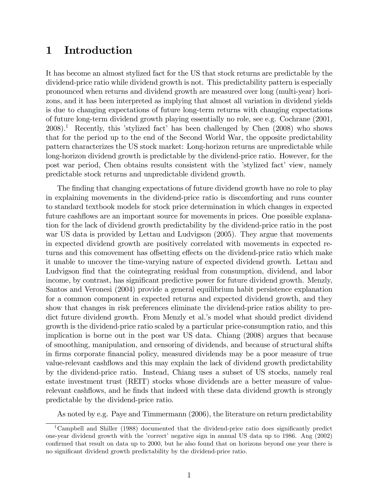### 1 Introduction

It has become an almost stylized fact for the US that stock returns are predictable by the dividend-price ratio while dividend growth is not. This predictability pattern is especially pronounced when returns and dividend growth are measured over long (multi-year) horizons, and it has been interpreted as implying that almost all variation in dividend yields is due to changing expectations of future long-term returns with changing expectations of future long-term dividend growth playing essentially no role, see e.g. Cochrane (2001,  $2008$ <sup>1</sup>. Recently, this 'stylized fact' has been challenged by Chen (2008) who shows that for the period up to the end of the Second World War, the opposite predictability pattern characterizes the US stock market: Long-horizon returns are unpredictable while long-horizon dividend growth is predictable by the dividend-price ratio. However, for the post war period, Chen obtains results consistent with the 'stylized fact' view, namely predictable stock returns and unpredictable dividend growth.

The finding that changing expectations of future dividend growth have no role to play in explaining movements in the dividend-price ratio is discomforting and runs counter to standard textbook models for stock price determination in which changes in expected future cashflows are an important source for movements in prices. One possible explanation for the lack of dividend growth predictability by the dividend-price ratio in the post war US data is provided by Lettau and Ludvigson (2005). They argue that movements in expected dividend growth are positively correlated with movements in expected returns and this comovement has offsetting effects on the dividend-price ratio which make it unable to uncover the time-varying nature of expected dividend growth. Lettau and Ludvigson find that the cointegrating residual from consumption, dividend, and labor income, by contrast, has significant predictive power for future dividend growth. Menzly, Santos and Veronesi (2004) provide a general equilibrium habit persistence explanation for a common component in expected returns and expected dividend growth, and they show that changes in risk preferences eliminate the dividend-price ratios ability to predict future dividend growth. From Menzly et al.'s model what should predict dividend growth is the dividend-price ratio scaled by a particular price-consumption ratio, and this implication is borne out in the post war US data. Chiang (2008) argues that because of smoothing, manipulation, and censoring of dividends, and because of structural shifts in Örms corporate Önancial policy, measured dividends may be a poor measure of true value-relevant cashflows and this may explain the lack of dividend growth predictability by the dividend-price ratio. Instead, Chiang uses a subset of US stocks, namely real estate investment trust (REIT) stocks whose dividends are a better measure of valuerelevant cashflows, and he finds that indeed with these data dividend growth is strongly predictable by the dividend-price ratio.

As noted by e.g. Paye and Timmermann (2006), the literature on return predictability

<sup>&</sup>lt;sup>1</sup>Campbell and Shiller (1988) documented that the dividend-price ratio does significantly predict one-year dividend growth with the ícorrectí negative sign in annual US data up to 1986. Ang (2002) confirmed that result on data up to 2000, but he also found that on horizons beyond one year there is no significant dividend growth predictability by the dividend-price ratio.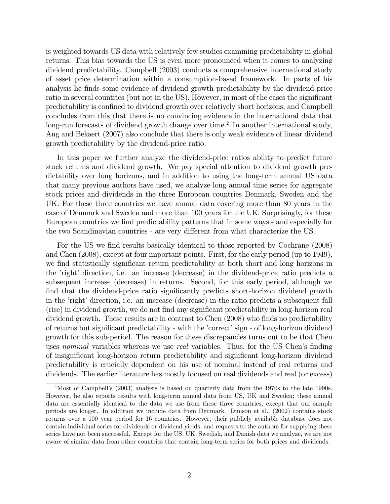is weighted towards US data with relatively few studies examining predictability in global returns. This bias towards the US is even more pronounced when it comes to analyzing dividend predictability. Campbell (2003) conducts a comprehensive international study of asset price determination within a consumption-based framework. In parts of his analysis he finds some evidence of dividend growth predictability by the dividend-price ratio in several countries (but not in the US). However, in most of the cases the significant predictability is confined to dividend growth over relatively short horizons, and Campbell concludes from this that there is no convincing evidence in the international data that long-run forecasts of dividend growth change over time.<sup>2</sup> In another international study, Ang and Bekaert (2007) also conclude that there is only weak evidence of linear dividend growth predictability by the dividend-price ratio.

In this paper we further analyze the dividend-price ratios ability to predict future stock returns and dividend growth. We pay special attention to dividend growth predictability over long horizons, and in addition to using the long-term annual US data that many previous authors have used, we analyze long annual time series for aggregate stock prices and dividends in the three European countries Denmark, Sweden and the UK. For these three countries we have annual data covering more than 80 years in the case of Denmark and Sweden and more than 100 years for the UK. Surprisingly, for these European countries we find predictability patterns that in some ways - and especially for the two Scandinavian countries - are very different from what characterize the US.

For the US we find results basically identical to those reported by Cochrane (2008) and Chen (2008), except at four important points. First, for the early period (up to 1949), we find statistically significant return predictability at both short and long horizons in the 'right' direction, i.e. an increase (decrease) in the dividend-price ratio predicts a subsequent increase (decrease) in returns. Second, for this early period, although we find that the dividend-price ratio significantly predicts short-horizon dividend growth in the 'right' direction, i.e. an increase (decrease) in the ratio predicts a subsequent fall (rise) in dividend growth, we do not Önd any signiÖcant predictability in long-horizon real dividend growth. These results are in contrast to Chen (2008) who finds no predictability of returns but significant predictability - with the 'correct' sign - of long-horizon dividend growth for this sub-period. The reason for these discrepancies turns out to be that Chen uses *nominal* variables whereas we use *real* variables. Thus, for the US Chen's finding of insignificant long-horizon return predictability and significant long-horizon dividend predictability is crucially dependent on his use of nominal instead of real returns and dividends. The earlier literature has mostly focused on real dividends and real (or excess)

 $2^2$ Most of Campbell's (2003) analysis is based on quarterly data from the 1970s to the late 1990s. However, he also reports results with long-term annual data from US, UK and Sweden; these annual data are essentially identical to the data we use from these three countries, except that our sample periods are longer. In addition we include data from Denmark. Dimson et al. (2002) contains stock returns over a 100 year period for 16 countries. However, their publicly available database does not contain individual series for dividends or dividend yields, and requests to the authors for supplying these series have not been successful. Except for the US, UK, Swedish, and Danish data we analyze, we are not aware of similar data from other countries that contain long-term series for both prices and dividends.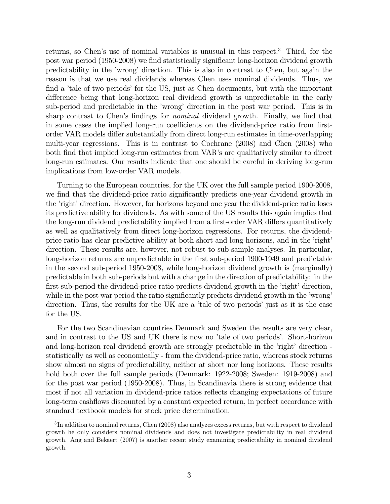returns, so Chen's use of nominal variables is unusual in this respect.<sup>3</sup> Third, for the post war period (1950-2008) we find statistically significant long-horizon dividend growth predictability in the 'wrong' direction. This is also in contrast to Chen, but again the reason is that we use real dividends whereas Chen uses nominal dividends. Thus, we find a 'tale of two periods' for the US, just as Chen documents, but with the important difference being that long-horizon real dividend growth is unpredictable in the early sub-period and predictable in the 'wrong' direction in the post war period. This is in sharp contrast to Chen's findings for *nominal* dividend growth. Finally, we find that in some cases the implied long-run coefficients on the dividend-price ratio from firstorder VAR models differ substantially from direct long-run estimates in time-overlapping multi-year regressions. This is in contrast to Cochrane (2008) and Chen (2008) who both find that implied long-run estimates from VAR's are qualitatively similar to direct long-run estimates. Our results indicate that one should be careful in deriving long-run implications from low-order VAR models.

Turning to the European countries, for the UK over the full sample period 1900-2008, we find that the dividend-price ratio significantly predicts one-year dividend growth in the 'right' direction. However, for horizons beyond one year the dividend-price ratio loses its predictive ability for dividends. As with some of the US results this again implies that the long-run dividend predictability implied from a first-order VAR differs quantitatively as well as qualitatively from direct long-horizon regressions. For returns, the dividendprice ratio has clear predictive ability at both short and long horizons, and in the 'right' direction. These results are, however, not robust to sub-sample analyses. In particular, long-horizon returns are unpredictable in the first sub-period 1900-1949 and predictable in the second sub-period 1950-2008, while long-horizon dividend growth is (marginally) predictable in both sub-periods but with a change in the direction of predictability: in the first sub-period the dividend-price ratio predicts dividend growth in the 'right' direction, while in the post war period the ratio significantly predicts dividend growth in the 'wrong' direction. Thus, the results for the UK are a 'tale of two periods' just as it is the case for the US.

For the two Scandinavian countries Denmark and Sweden the results are very clear, and in contrast to the US and UK there is now no 'tale of two periods'. Short-horizon and long-horizon real dividend growth are strongly predictable in the 'right' direction statistically as well as economically - from the dividend-price ratio, whereas stock returns show almost no signs of predictability, neither at short nor long horizons. These results hold both over the full sample periods (Denmark: 1922-2008; Sweden: 1919-2008) and for the post war period (1950-2008). Thus, in Scandinavia there is strong evidence that most if not all variation in dividend-price ratios reflects changing expectations of future long-term cashflows discounted by a constant expected return, in perfect accordance with standard textbook models for stock price determination.

 ${}^{3}$ In addition to nominal returns, Chen (2008) also analyzes excess returns, but with respect to dividend growth he only considers nominal dividends and does not investigate predictability in real dividend growth. Ang and Bekaert (2007) is another recent study examining predictability in nominal dividend growth.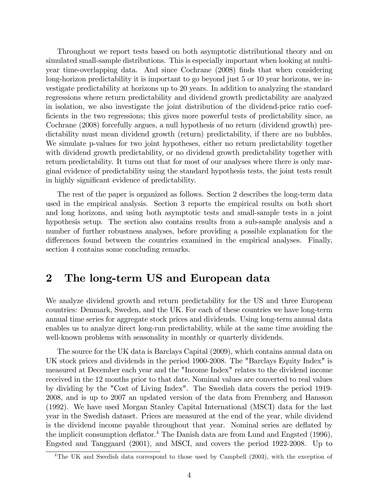Throughout we report tests based on both asymptotic distributional theory and on simulated small-sample distributions. This is especially important when looking at multiyear time-overlapping data. And since Cochrane (2008) finds that when considering long-horizon predictability it is important to go beyond just 5 or 10 year horizons, we investigate predictability at horizons up to 20 years. In addition to analyzing the standard regressions where return predictability and dividend growth predictability are analyzed in isolation, we also investigate the joint distribution of the dividend-price ratio coefficients in the two regressions; this gives more powerful tests of predictability since, as Cochrane (2008) forcefully argues, a null hypothesis of no return (dividend growth) predictability must mean dividend growth (return) predictability, if there are no bubbles. We simulate p-values for two joint hypotheses, either no return predictability together with dividend growth predictability, or no dividend growth predictability together with return predictability. It turns out that for most of our analyses where there is only marginal evidence of predictability using the standard hypothesis tests, the joint tests result in highly significant evidence of predictability.

The rest of the paper is organized as follows. Section 2 describes the long-term data used in the empirical analysis. Section 3 reports the empirical results on both short and long horizons, and using both asymptotic tests and small-sample tests in a joint hypothesis setup. The section also contains results from a sub-sample analysis and a number of further robustness analyses, before providing a possible explanation for the differences found between the countries examined in the empirical analyses. Finally, section 4 contains some concluding remarks.

### 2 The long-term US and European data

We analyze dividend growth and return predictability for the US and three European countries: Denmark, Sweden, and the UK. For each of these countries we have long-term annual time series for aggregate stock prices and dividends. Using long-term annual data enables us to analyze direct long-run predictability, while at the same time avoiding the well-known problems with seasonality in monthly or quarterly dividends.

The source for the UK data is Barclays Capital (2009), which contains annual data on UK stock prices and dividends in the period 1900-2008. The "Barclays Equity Index" is measured at December each year and the "Income Index" relates to the dividend income received in the 12 months prior to that date. Nominal values are converted to real values by dividing by the "Cost of Living Index". The Swedish data covers the period 1919- 2008, and is up to 2007 an updated version of the data from Frennberg and Hansson (1992). We have used Morgan Stanley Capital International (MSCI) data for the last year in the Swedish dataset. Prices are measured at the end of the year, while dividend is the dividend income payable throughout that year. Nominal series are deáated by the implicit consumption deáator.<sup>4</sup> The Danish data are from Lund and Engsted (1996), Engsted and Tanggaard (2001), and MSCI, and covers the period 1922-2008. Up to

<sup>&</sup>lt;sup>4</sup>The UK and Swedish data correspond to those used by Campbell (2003), with the exception of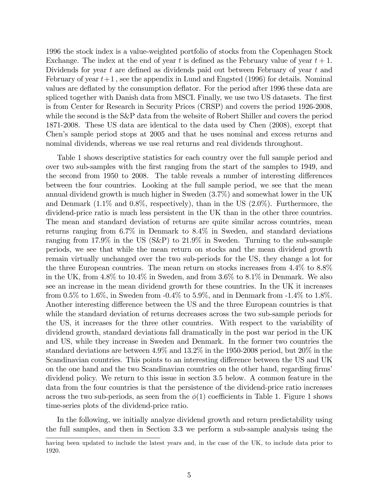1996 the stock index is a value-weighted portfolio of stocks from the Copenhagen Stock Exchange. The index at the end of year t is defined as the February value of year  $t + 1$ . Dividends for year  $t$  are defined as dividends paid out between February of year  $t$  and February of year  $t+1$ , see the appendix in Lund and Engsted (1996) for details. Nominal values are deflated by the consumption deflator. For the period after 1996 these data are spliced together with Danish data from MSCI. Finally, we use two US datasets. The first is from Center for Research in Security Prices (CRSP) and covers the period 1926-2008, while the second is the S&P data from the website of Robert Shiller and covers the period 1871-2008. These US data are identical to the data used by Chen (2008), except that Chenís sample period stops at 2005 and that he uses nominal and excess returns and nominal dividends, whereas we use real returns and real dividends throughout.

Table 1 shows descriptive statistics for each country over the full sample period and over two sub-samples with the first ranging from the start of the samples to 1949, and the second from 1950 to 2008. The table reveals a number of interesting differences between the four countries. Looking at the full sample period, we see that the mean annual dividend growth is much higher in Sweden (3.7%) and somewhat lower in the UK and Denmark (1.1% and 0.8%, respectively), than in the US (2.0%). Furthermore, the dividend-price ratio is much less persistent in the UK than in the other three countries. The mean and standard deviation of returns are quite similar across countries, mean returns ranging from 6.7% in Denmark to 8.4% in Sweden, and standard deviations ranging from 17.9% in the US (S&P) to 21.9% in Sweden. Turning to the sub-sample periods, we see that while the mean return on stocks and the mean dividend growth remain virtually unchanged over the two sub-periods for the US, they change a lot for the three European countries. The mean return on stocks increases from 4.4% to 8.8% in the UK, from 4.8% to 10.4% in Sweden, and from 3.6% to 8.1% in Denmark. We also see an increase in the mean dividend growth for these countries. In the UK it increases from 0.5% to 1.6%, in Sweden from  $-0.4\%$  to 5.9%, and in Denmark from  $-1.4\%$  to 1.8%. Another interesting difference between the US and the three European countries is that while the standard deviation of returns decreases across the two sub-sample periods for the US, it increases for the three other countries. With respect to the variability of dividend growth, standard deviations fall dramatically in the post war period in the UK and US, while they increase in Sweden and Denmark. In the former two countries the standard deviations are between 4.9% and 13.2% in the 1950-2008 period, but 20% in the Scandinavian countries. This points to an interesting difference between the US and UK on the one hand and the two Scandinavian countries on the other hand, regarding firms' dividend policy. We return to this issue in section 3.5 below. A common feature in the data from the four countries is that the persistence of the dividend-price ratio increases across the two sub-periods, as seen from the  $\phi(1)$  coefficients in Table 1. Figure 1 shows time-series plots of the dividend-price ratio.

In the following, we initially analyze dividend growth and return predictability using the full samples, and then in Section 3.3 we perform a sub-sample analysis using the

having been updated to include the latest years and, in the case of the UK, to include data prior to 1920.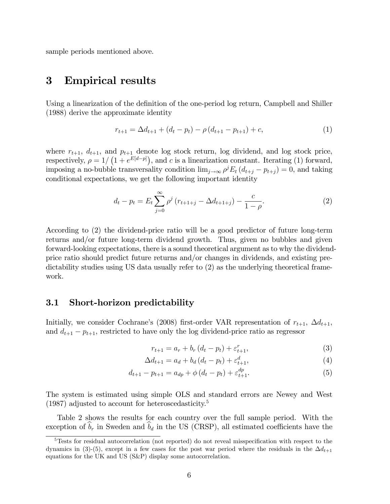sample periods mentioned above.

### 3 Empirical results

Using a linearization of the definition of the one-period log return, Campbell and Shiller (1988) derive the approximate identity

$$
r_{t+1} = \Delta d_{t+1} + (d_t - p_t) - \rho (d_{t+1} - p_{t+1}) + c,\tag{1}
$$

where  $r_{t+1}$ ,  $d_{t+1}$ , and  $p_{t+1}$  denote log stock return, log dividend, and log stock price, respectively,  $\rho = 1/(1 + e^{E[d-p]})$ , and c is a linearization constant. Iterating (1) forward, imposing a no-bubble transversality condition  $\lim_{j\to\infty} \rho^j E_t (d_{t+j} - p_{t+j}) = 0$ , and taking conditional expectations, we get the following important identity

$$
d_t - p_t = E_t \sum_{j=0}^{\infty} \rho^j \left( r_{t+1+j} - \Delta d_{t+1+j} \right) - \frac{c}{1-\rho}.
$$
 (2)

According to (2) the dividend-price ratio will be a good predictor of future long-term returns and/or future long-term dividend growth. Thus, given no bubbles and given forward-looking expectations, there is a sound theoretical argument as to why the dividendprice ratio should predict future returns and/or changes in dividends, and existing predictability studies using US data usually refer to (2) as the underlying theoretical framework.

### 3.1 Short-horizon predictability

Initially, we consider Cochrane's (2008) first-order VAR representation of  $r_{t+1}$ ,  $\Delta d_{t+1}$ , and  $d_{t+1} - p_{t+1}$ , restricted to have only the log dividend-price ratio as regressor

$$
r_{t+1} = a_r + b_r (d_t - p_t) + \varepsilon_{t+1}^r,
$$
\n(3)

$$
\Delta d_{t+1} = a_d + b_d (d_t - p_t) + \varepsilon_{t+1}^d,
$$
\n(4)

$$
d_{t+1} - p_{t+1} = a_{dp} + \phi \left( d_t - p_t \right) + \varepsilon_{t+1}^{dp}.
$$
\n(5)

The system is estimated using simple OLS and standard errors are Newey and West (1987) adjusted to account for heteroscedasticity.<sup>5</sup>

Table 2 shows the results for each country over the full sample period. With the exception of  $b_r$  in Sweden and  $b_d$  in the US (CRSP), all estimated coefficients have the

 $5$ Tests for residual autocorrelation (not reported) do not reveal misspecification with respect to the dynamics in (3)-(5), except in a few cases for the post war period where the residuals in the  $\Delta d_{t+1}$ equations for the UK and US (S&P) display some autocorrelation.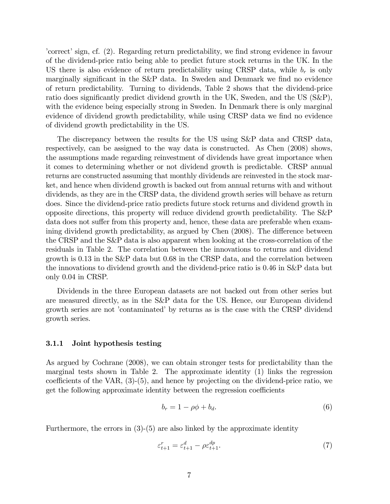ícorrectísign, cf. (2). Regarding return predictability, we Önd strong evidence in favour of the dividend-price ratio being able to predict future stock returns in the UK. In the US there is also evidence of return predictability using CRSP data, while  $b_r$  is only marginally significant in the S&P data. In Sweden and Denmark we find no evidence of return predictability. Turning to dividends, Table 2 shows that the dividend-price ratio does significantly predict dividend growth in the UK, Sweden, and the US (S&P), with the evidence being especially strong in Sweden. In Denmark there is only marginal evidence of dividend growth predictability, while using CRSP data we find no evidence of dividend growth predictability in the US.

The discrepancy between the results for the US using S&P data and CRSP data, respectively, can be assigned to the way data is constructed. As Chen (2008) shows, the assumptions made regarding reinvestment of dividends have great importance when it comes to determining whether or not dividend growth is predictable. CRSP annual returns are constructed assuming that monthly dividends are reinvested in the stock market, and hence when dividend growth is backed out from annual returns with and without dividends, as they are in the CRSP data, the dividend growth series will behave as return does. Since the dividend-price ratio predicts future stock returns and dividend growth in opposite directions, this property will reduce dividend growth predictability. The S&P data does not suffer from this property and, hence, these data are preferable when examining dividend growth predictability, as argued by Chen (2008). The difference between the CRSP and the S&P data is also apparent when looking at the cross-correlation of the residuals in Table 2. The correlation between the innovations to returns and dividend growth is 0.13 in the S&P data but 0.68 in the CRSP data, and the correlation between the innovations to dividend growth and the dividend-price ratio is 0.46 in S&P data but only 0.04 in CRSP.

Dividends in the three European datasets are not backed out from other series but are measured directly, as in the S&P data for the US. Hence, our European dividend growth series are not 'contaminated' by returns as is the case with the CRSP dividend growth series.

#### 3.1.1 Joint hypothesis testing

As argued by Cochrane (2008), we can obtain stronger tests for predictability than the marginal tests shown in Table 2. The approximate identity (1) links the regression coefficients of the VAR,  $(3)-(5)$ , and hence by projecting on the dividend-price ratio, we get the following approximate identity between the regression coefficients

$$
b_r = 1 - \rho \phi + b_d. \tag{6}
$$

Furthermore, the errors in  $(3)-(5)$  are also linked by the approximate identity

$$
\varepsilon_{t+1}^r = \varepsilon_{t+1}^d - \rho \varepsilon_{t+1}^{dp}.\tag{7}
$$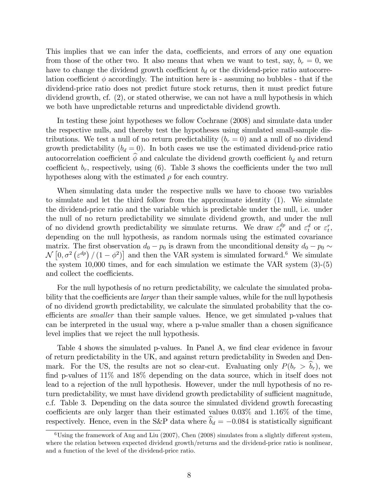This implies that we can infer the data, coefficients, and errors of any one equation from those of the other two. It also means that when we want to test, say,  $b_r = 0$ , we have to change the dividend growth coefficient  $b<sub>d</sub>$  or the dividend-price ratio autocorrelation coefficient  $\phi$  accordingly. The intuition here is - assuming no bubbles - that if the dividend-price ratio does not predict future stock returns, then it must predict future dividend growth, cf. (2), or stated otherwise, we can not have a null hypothesis in which we both have unpredictable returns and unpredictable dividend growth.

In testing these joint hypotheses we follow Cochrane (2008) and simulate data under the respective nulls, and thereby test the hypotheses using simulated small-sample distributions. We test a null of no return predictability  $(b_r = 0)$  and a null of no dividend growth predictability  $(b_d = 0)$ . In both cases we use the estimated dividend-price ratio autocorrelation coefficient  $\widehat{\phi}$  and calculate the dividend growth coefficient  $b_d$  and return coefficient  $b_r$ , respectively, using (6). Table 3 shows the coefficients under the two null hypotheses along with the estimated  $\rho$  for each country.

When simulating data under the respective nulls we have to choose two variables to simulate and let the third follow from the approximate identity (1). We simulate the dividend-price ratio and the variable which is predictable under the null, i.e. under the null of no return predictability we simulate dividend growth, and under the null of no dividend growth predictability we simulate returns. We draw  $\varepsilon_t^{dp}$  and  $\varepsilon_t^d$  or  $\varepsilon_t^r$ , depending on the null hypothesis, as random normals using the estimated covariance matrix. The first observation  $d_0 - p_0$  is drawn from the unconditional density  $d_0 - p_0 \sim$  $\mathcal{N}\left[0, \sigma^2\left(\varepsilon^{dp}\right) / (1-\phi^2)\right]$  and then the VAR system is simulated forward.<sup>6</sup> We simulate the system 10,000 times, and for each simulation we estimate the VAR system (3)-(5) and collect the coefficients.

For the null hypothesis of no return predictability, we calculate the simulated probability that the coefficients are *larger* than their sample values, while for the null hypothesis of no dividend growth predictability, we calculate the simulated probability that the coefficients are *smaller* than their sample values. Hence, we get simulated p-values that can be interpreted in the usual way, where a p-value smaller than a chosen significance level implies that we reject the null hypothesis.

Table 4 shows the simulated p-values. In Panel A, we find clear evidence in favour of return predictability in the UK, and against return predictability in Sweden and Denmark. For the US, the results are not so clear-cut. Evaluating only  $P(b_r > \hat{b}_r)$ , we find p-values of  $11\%$  and  $18\%$  depending on the data source, which in itself does not lead to a rejection of the null hypothesis. However, under the null hypothesis of no return predictability, we must have dividend growth predictability of sufficient magnitude, c.f. Table 3. Depending on the data source the simulated dividend growth forecasting coefficients are only larger than their estimated values  $0.03\%$  and  $1.16\%$  of the time, respectively. Hence, even in the S&P data where  $\hat{b}_d = -0.084$  is statistically significant

 $6$ Using the framework of Ang and Liu (2007), Chen (2008) simulates from a slightly different system, where the relation between expected dividend growth/returns and the dividend-price ratio is nonlinear, and a function of the level of the dividend-price ratio.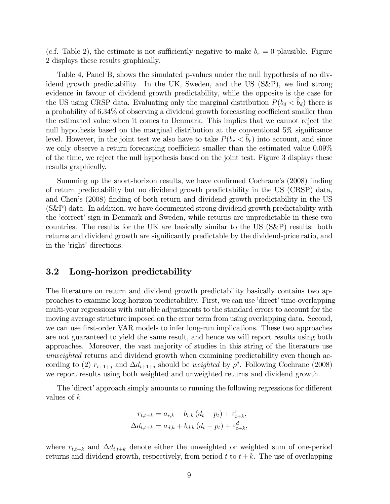(c.f. Table 2), the estimate is not sufficiently negative to make  $b_r = 0$  plausible. Figure 2 displays these results graphically.

Table 4, Panel B, shows the simulated p-values under the null hypothesis of no dividend growth predictability. In the UK, Sweden, and the US  $(S\&P)$ , we find strong evidence in favour of dividend growth predictability, while the opposite is the case for the US using CRSP data. Evaluating only the marginal distribution  $P(b_d < \hat{b}_d)$  there is a probability of  $6.34\%$  of observing a dividend growth forecasting coefficient smaller than the estimated value when it comes to Denmark. This implies that we cannot reject the null hypothesis based on the marginal distribution at the conventional  $5\%$  significance level. However, in the joint test we also have to take  $P(b_r < \hat{b}_r)$  into account, and since we only observe a return forecasting coefficient smaller than the estimated value  $0.09\%$ of the time, we reject the null hypothesis based on the joint test. Figure 3 displays these results graphically.

Summing up the short-horizon results, we have confirmed Cochrane's (2008) finding of return predictability but no dividend growth predictability in the US (CRSP) data, and Chen's (2008) finding of both return and dividend growth predictability in the US (S&P) data. In addition, we have documented strong dividend growth predictability with the 'correct' sign in Denmark and Sweden, while returns are unpredictable in these two countries. The results for the UK are basically similar to the US (S&P) results: both returns and dividend growth are significantly predictable by the dividend-price ratio, and in the 'right' directions.

### 3.2 Long-horizon predictability

The literature on return and dividend growth predictability basically contains two approaches to examine long-horizon predictability. First, we can use 'direct' time-overlapping multi-year regressions with suitable adjustments to the standard errors to account for the moving average structure imposed on the error term from using overlapping data. Second, we can use first-order VAR models to infer long-run implications. These two approaches are not guaranteed to yield the same result, and hence we will report results using both approaches. Moreover, the vast majority of studies in this string of the literature use unweighted returns and dividend growth when examining predictability even though according to (2)  $r_{t+1+j}$  and  $\Delta d_{t+1+j}$  should be *weighted* by  $\rho^j$ . Following Cochrane (2008) we report results using both weighted and unweighted returns and dividend growth.

The 'direct' approach simply amounts to running the following regressions for different values of k

$$
r_{t,t+k} = a_{r,k} + b_{r,k} (d_t - p_t) + \varepsilon_{t+k}^r,
$$
  

$$
\Delta d_{t,t+k} = a_{d,k} + b_{d,k} (d_t - p_t) + \varepsilon_{t+k}^d,
$$

where  $r_{t,t+k}$  and  $\Delta d_{t,t+k}$  denote either the unweighted or weighted sum of one-period returns and dividend growth, respectively, from period t to  $t + k$ . The use of overlapping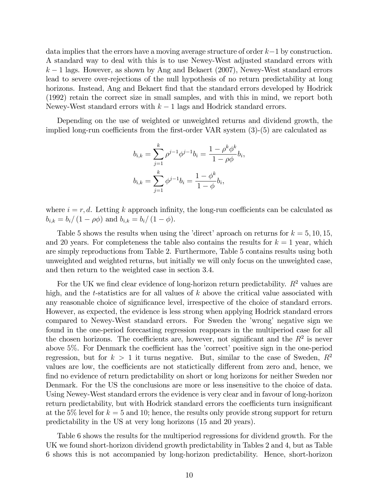data implies that the errors have a moving average structure of order  $k-1$  by construction. A standard way to deal with this is to use Newey-West adjusted standard errors with  $k-1$  lags. However, as shown by Ang and Bekaert (2007), Newey-West standard errors lead to severe over-rejections of the null hypothesis of no return predictability at long horizons. Instead, Ang and Bekaert find that the standard errors developed by Hodrick (1992) retain the correct size in small samples, and with this in mind, we report both Newey-West standard errors with  $k-1$  lags and Hodrick standard errors.

Depending on the use of weighted or unweighted returns and dividend growth, the implied long-run coefficients from the first-order VAR system  $(3)-(5)$  are calculated as

$$
b_{i,k} = \sum_{j=1}^{k} \rho^{j-1} \phi^{j-1} b_i = \frac{1 - \rho^k \phi^k}{1 - \rho \phi} b_i,
$$
  

$$
b_{i,k} = \sum_{j=1}^{k} \phi^{j-1} b_i = \frac{1 - \phi^k}{1 - \phi} b_i,
$$

where  $i = r, d$ . Letting k approach infinity, the long-run coefficients can be calculated as  $b_{i,k} = b_i / (1 - \rho \phi)$  and  $b_{i,k} = b_i / (1 - \phi)$ .

Table 5 shows the results when using the 'direct' aproach on returns for  $k = 5, 10, 15$ ; and 20 years. For completeness the table also contains the results for  $k = 1$  year, which are simply reproductions from Table 2. Furthermore, Table 5 contains results using both unweighted and weighted returns, but initially we will only focus on the unweighted case, and then return to the weighted case in section 3.4.

For the UK we find clear evidence of long-horizon return predictability.  $R^2$  values are high, and the  $t$ -statistics are for all values of  $k$  above the critical value associated with any reasonable choice of significance level, irrespective of the choice of standard errors. However, as expected, the evidence is less strong when applying Hodrick standard errors compared to Newey-West standard errors. For Sweden the íwrongí negative sign we found in the one-period forecasting regression reappears in the multiperiod case for all the chosen horizons. The coefficients are, however, not significant and the  $R^2$  is never above  $5\%$ . For Denmark the coefficient has the 'correct' positive sign in the one-period regression, but for  $k > 1$  it turns negative. But, similar to the case of Sweden,  $R^2$ values are low, the coefficients are not statictically different from zero and, hence, we find no evidence of return predictability on short or long horizons for neither Sweden nor Denmark. For the US the conclusions are more or less insensitive to the choice of data. Using Newey-West standard errors the evidence is very clear and in favour of long-horizon return predictability, but with Hodrick standard errors the coefficients turn insignificant at the 5% level for  $k = 5$  and 10; hence, the results only provide strong support for return predictability in the US at very long horizons (15 and 20 years).

Table 6 shows the results for the multiperiod regressions for dividend growth. For the UK we found short-horizon dividend growth predictability in Tables 2 and 4, but as Table 6 shows this is not accompanied by long-horizon predictability. Hence, short-horizon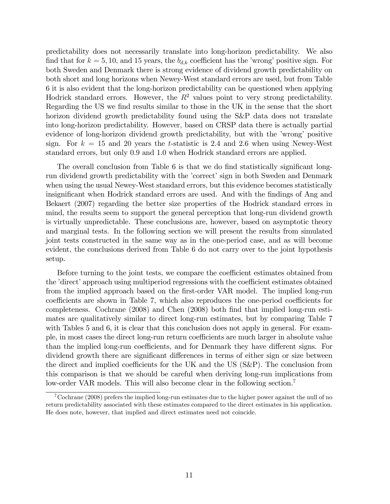predictability does not necessarily translate into long-horizon predictability. We also find that for  $k = 5, 10$ , and 15 years, the  $b_{d,k}$  coefficient has the 'wrong' positive sign. For both Sweden and Denmark there is strong evidence of dividend growth predictability on both short and long horizons when Newey-West standard errors are used, but from Table 6 it is also evident that the long-horizon predictability can be questioned when applying Hodrick standard errors. However, the  $R^2$  values point to very strong predictability. Regarding the US we find results similar to those in the UK in the sense that the short horizon dividend growth predictability found using the S&P data does not translate into long-horizon predictability. However, based on CRSP data there is actually partial evidence of long-horizon dividend growth predictability, but with the 'wrong' positive sign. For  $k = 15$  and 20 years the t-statistic is 2.4 and 2.6 when using Newey-West standard errors, but only 0.9 and 1.0 when Hodrick standard errors are applied.

The overall conclusion from Table 6 is that we do find statistically significant longrun dividend growth predictability with the 'correct' sign in both Sweden and Denmark when using the usual Newey-West standard errors, but this evidence becomes statistically insignificant when Hodrick standard errors are used. And with the findings of Ang and Bekaert (2007) regarding the better size properties of the Hodrick standard errors in mind, the results seem to support the general perception that long-run dividend growth is virtually unpredictable. These conclusions are, however, based on asymptotic theory and marginal tests. In the following section we will present the results from simulated joint tests constructed in the same way as in the one-period case, and as will become evident, the conclusions derived from Table 6 do not carry over to the joint hypothesis setup.

Before turning to the joint tests, we compare the coefficient estimates obtained from the 'direct' approach using multiperiod regressions with the coefficient estimates obtained from the implied approach based on the first-order VAR model. The implied long-run coefficients are shown in Table 7, which also reproduces the one-period coefficients for completeness. Cochrane (2008) and Chen (2008) both find that implied long-run estimates are qualitatively similar to direct long-run estimates, but by comparing Table 7 with Tables 5 and 6, it is clear that this conclusion does not apply in general. For example, in most cases the direct long-run return coefficients are much larger in absolute value than the implied long-run coefficients, and for Denmark they have different signs. For dividend growth there are significant differences in terms of either sign or size between the direct and implied coefficients for the UK and the US  $(S\&P)$ . The conclusion from this comparison is that we should be careful when deriving long-run implications from low-order VAR models. This will also become clear in the following section.<sup>7</sup>

<sup>&</sup>lt;sup>7</sup>Cochrane (2008) prefers the implied long-run estimates due to the higher power against the null of no return predictability associated with these estimates compared to the direct estimates in his application. He does note, however, that implied and direct estimates need not coincide.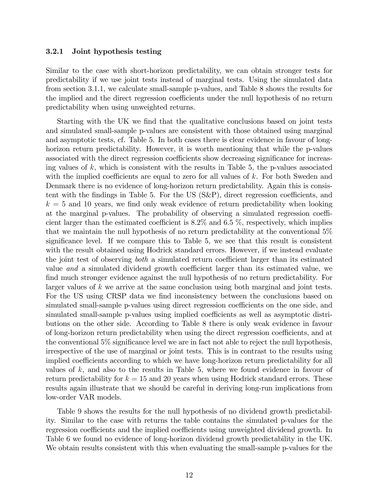#### 3.2.1 Joint hypothesis testing

Similar to the case with short-horizon predictability, we can obtain stronger tests for predictability if we use joint tests instead of marginal tests. Using the simulated data from section 3.1.1, we calculate small-sample p-values, and Table 8 shows the results for the implied and the direct regression coefficients under the null hypothesis of no return predictability when using unweighted returns.

Starting with the UK we find that the qualitative conclusions based on joint tests and simulated small-sample p-values are consistent with those obtained using marginal and asymptotic tests, cf. Table 5. In both cases there is clear evidence in favour of longhorizon return predictability. However, it is worth mentioning that while the p-values associated with the direct regression coefficients show decreasing significance for increasing values of  $k$ , which is consistent with the results in Table 5, the p-values associated with the implied coefficients are equal to zero for all values of  $k$ . For both Sweden and Denmark there is no evidence of long-horizon return predictability. Again this is consistent with the findings in Table 5. For the US  $(S\&P)$ , direct regression coefficients, and  $k = 5$  and 10 years, we find only weak evidence of return predictability when looking at the marginal p-values. The probability of observing a simulated regression coefficient larger than the estimated coefficient is  $8.2\%$  and  $6.5\%$ , respectively, which implies that we maintain the null hypothesis of no return predictability at the conventional 5% significance level. If we compare this to Table 5, we see that this result is consistent with the result obtained using Hodrick standard errors. However, if we instead evaluate the joint test of observing *both* a simulated return coefficient larger than its estimated value and a simulated dividend growth coefficient larger than its estimated value, we find much stronger evidence against the null hypothesis of no return predictability. For larger values of k we arrive at the same conclusion using both marginal and joint tests. For the US using CRSP data we find inconsistency between the conclusions based on simulated small-sample p-values using direct regression coefficients on the one side, and simulated small-sample p-values using implied coefficients as well as asymptotic distributions on the other side. According to Table 8 there is only weak evidence in favour of long-horizon return predictability when using the direct regression coefficients, and at the conventional  $5\%$  significance level we are in fact not able to reject the null hypothesis, irrespective of the use of marginal or joint tests. This is in contrast to the results using implied coefficients according to which we have long-horizon return predictability for all values of  $k$ , and also to the results in Table 5, where we found evidence in favour of return predictability for  $k = 15$  and 20 years when using Hodrick standard errors. These results again illustrate that we should be careful in deriving long-run implications from low-order VAR models.

Table 9 shows the results for the null hypothesis of no dividend growth predictability. Similar to the case with returns the table contains the simulated p-values for the regression coefficients and the implied coefficients using unweighted dividend growth. In Table 6 we found no evidence of long-horizon dividend growth predictability in the UK. We obtain results consistent with this when evaluating the small-sample p-values for the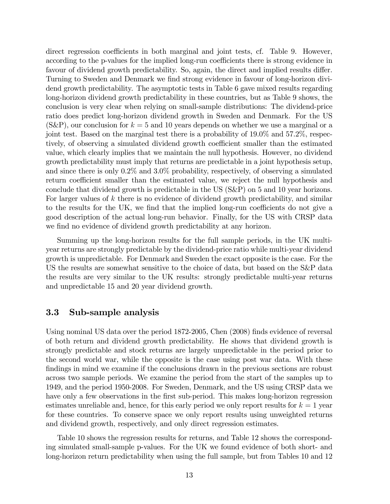direct regression coefficients in both marginal and joint tests, cf. Table 9. However, according to the p-values for the implied long-run coefficients there is strong evidence in favour of dividend growth predictability. So, again, the direct and implied results differ. Turning to Sweden and Denmark we find strong evidence in favour of long-horizon dividend growth predictability. The asymptotic tests in Table 6 gave mixed results regarding long-horizon dividend growth predictability in these countries, but as Table 9 shows, the conclusion is very clear when relying on small-sample distributions: The dividend-price ratio does predict long-horizon dividend growth in Sweden and Denmark. For the US  $(S\&P)$ , our conclusion for  $k = 5$  and 10 years depends on whether we use a marginal or a joint test. Based on the marginal test there is a probability of 19.0% and 57.2%, respectively, of observing a simulated dividend growth coefficient smaller than the estimated value, which clearly implies that we maintain the null hypothesis. However, no dividend growth predictability must imply that returns are predictable in a joint hypothesis setup, and since there is only 0.2% and 3.0% probability, respectively, of observing a simulated return coefficient smaller than the estimated value, we reject the null hypothesis and conclude that dividend growth is predictable in the US (S&P) on 5 and 10 year horizons. For larger values of k there is no evidence of dividend growth predictability, and similar to the results for the UK, we find that the implied long-run coefficients do not give a good description of the actual long-run behavior. Finally, for the US with CRSP data we find no evidence of dividend growth predictability at any horizon.

Summing up the long-horizon results for the full sample periods, in the UK multiyear returns are strongly predictable by the dividend-price ratio while multi-year dividend growth is unpredictable. For Denmark and Sweden the exact opposite is the case. For the US the results are somewhat sensitive to the choice of data, but based on the S&P data the results are very similar to the UK results: strongly predictable multi-year returns and unpredictable 15 and 20 year dividend growth.

### 3.3 Sub-sample analysis

Using nominal US data over the period 1872-2005, Chen (2008) finds evidence of reversal of both return and dividend growth predictability. He shows that dividend growth is strongly predictable and stock returns are largely unpredictable in the period prior to the second world war, while the opposite is the case using post war data. With these findings in mind we examine if the conclusions drawn in the previous sections are robust across two sample periods. We examine the period from the start of the samples up to 1949, and the period 1950-2008. For Sweden, Denmark, and the US using CRSP data we have only a few observations in the first sub-period. This makes long-horizon regression estimates unreliable and, hence, for this early period we only report results for  $k = 1$  year for these countries. To conserve space we only report results using unweighted returns and dividend growth, respectively, and only direct regression estimates.

Table 10 shows the regression results for returns, and Table 12 shows the corresponding simulated small-sample p-values. For the UK we found evidence of both short- and long-horizon return predictability when using the full sample, but from Tables 10 and 12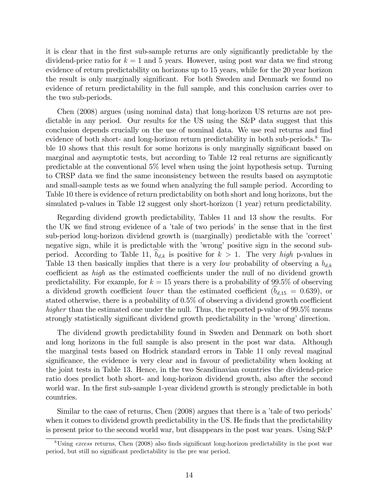it is clear that in the first sub-sample returns are only significantly predictable by the dividend-price ratio for  $k = 1$  and 5 years. However, using post war data we find strong evidence of return predictability on horizons up to 15 years, while for the 20 year horizon the result is only marginally significant. For both Sweden and Denmark we found no evidence of return predictability in the full sample, and this conclusion carries over to the two sub-periods.

Chen (2008) argues (using nominal data) that long-horizon US returns are not predictable in any period. Our results for the US using the S&P data suggest that this conclusion depends crucially on the use of nominal data. We use real returns and find evidence of both short- and long-horizon return predictability in both sub-periods.<sup>8</sup> Table 10 shows that this result for some horizons is only marginally significant based on marginal and asymptotic tests, but according to Table 12 real returns are significantly predictable at the conventional 5% level when using the joint hypothesis setup. Turning to CRSP data we find the same inconsistency between the results based on asymptotic and small-sample tests as we found when analyzing the full sample period. According to Table 10 there is evidence of return predictability on both short and long horizons, but the simulated p-values in Table 12 suggest only short-horizon (1 year) return predictability.

Regarding dividend growth predictability, Tables 11 and 13 show the results. For the UK we find strong evidence of a 'tale of two periods' in the sense that in the first sub-period long-horizon dividend growth is (marginally) predictable with the 'correct' negative sign, while it is predictable with the 'wrong' positive sign in the second subperiod. According to Table 11,  $b_{d,k}$  is positive for  $k > 1$ . The very high p-values in Table 13 then basically implies that there is a very low probability of observing a  $b_{d,k}$ coefficient as  $high$  as the estimated coefficients under the null of no dividend growth predictability. For example, for  $k = 15$  years there is a probability of 99.5% of observing a dividend growth coefficient *lower* than the estimated coefficient ( $b_{d,15} = 0.639$ ), or stated otherwise, there is a probability of  $0.5\%$  of observing a dividend growth coefficient higher than the estimated one under the null. Thus, the reported p-value of  $99.5\%$  means strongly statistically significant dividend growth predictability in the 'wrong' direction.

The dividend growth predictability found in Sweden and Denmark on both short and long horizons in the full sample is also present in the post war data. Although the marginal tests based on Hodrick standard errors in Table 11 only reveal maginal significance, the evidence is very clear and in favour of predictability when looking at the joint tests in Table 13. Hence, in the two Scandinavian countries the dividend-price ratio does predict both short- and long-horizon dividend growth, also after the second world war. In the first sub-sample 1-year dividend growth is strongly predictable in both countries.

Similar to the case of returns, Chen (2008) argues that there is a 'tale of two periods' when it comes to dividend growth predictability in the US. He finds that the predictability is present prior to the second world war, but disappears in the post war years. Using S&P

 $8\text{Using excess returns, Chen}$  (2008) also finds significant long-horizon predictability in the post war period, but still no significant predictability in the pre war period.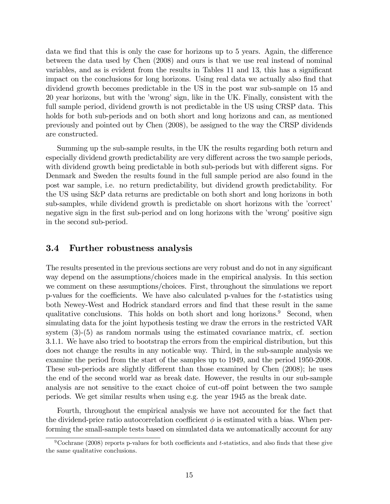data we find that this is only the case for horizons up to 5 years. Again, the difference between the data used by Chen (2008) and ours is that we use real instead of nominal variables, and as is evident from the results in Tables 11 and 13, this has a significant impact on the conclusions for long horizons. Using real data we actually also find that dividend growth becomes predictable in the US in the post war sub-sample on 15 and 20 year horizons, but with the 'wrong' sign, like in the UK. Finally, consistent with the full sample period, dividend growth is not predictable in the US using CRSP data. This holds for both sub-periods and on both short and long horizons and can, as mentioned previously and pointed out by Chen (2008), be assigned to the way the CRSP dividends are constructed.

Summing up the sub-sample results, in the UK the results regarding both return and especially dividend growth predictability are very different across the two sample periods, with dividend growth being predictable in both sub-periods but with different signs. For Denmark and Sweden the results found in the full sample period are also found in the post war sample, i.e. no return predictability, but dividend growth predictability. For the US using S&P data returns are predictable on both short and long horizons in both sub-samples, while dividend growth is predictable on short horizons with the 'correct' negative sign in the first sub-period and on long horizons with the 'wrong' positive sign in the second sub-period.

### 3.4 Further robustness analysis

The results presented in the previous sections are very robust and do not in any significant way depend on the assumptions/choices made in the empirical analysis. In this section we comment on these assumptions/choices. First, throughout the simulations we report p-values for the coefficients. We have also calculated p-values for the  $t$ -statistics using both Newey-West and Hodrick standard errors and find that these result in the same qualitative conclusions. This holds on both short and long horizons.<sup>9</sup> Second, when simulating data for the joint hypothesis testing we draw the errors in the restricted VAR system (3)-(5) as random normals using the estimated covariance matrix, cf. section 3.1.1. We have also tried to bootstrap the errors from the empirical distribution, but this does not change the results in any noticable way. Third, in the sub-sample analysis we examine the period from the start of the samples up to 1949, and the period 1950-2008. These sub-periods are slightly different than those examined by Chen (2008); he uses the end of the second world war as break date. However, the results in our sub-sample analysis are not sensitive to the exact choice of cut-off point between the two sample periods. We get similar results when using e.g. the year 1945 as the break date.

Fourth, throughout the empirical analysis we have not accounted for the fact that the dividend-price ratio autocorrelation coefficient  $\phi$  is estimated with a bias. When performing the small-sample tests based on simulated data we automatically account for any

 $9^9$ Cochrane (2008) reports p-values for both coefficients and t-statistics, and also finds that these give the same qualitative conclusions.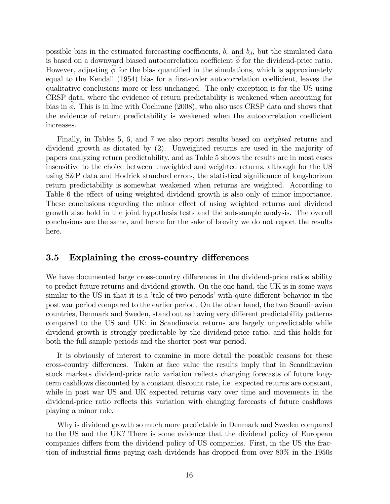possible bias in the estimated forecasting coefficients,  $b_r$  and  $b_d$ , but the simulated data is based on a downward biased autocorrelation coefficient  $\phi$  for the dividend-price ratio. However, adjusting  $\phi$  for the bias quantified in the simulations, which is approximately equal to the Kendall (1954) bias for a first-order autocorrelation coefficient, leaves the qualitative conclusions more or less unchanged. The only exception is for the US using CRSP data, where the evidence of return predictability is weakened when accouting for bias in  $\phi$ . This is in line with Cochrane (2008), who also uses CRSP data and shows that the evidence of return predictability is weakened when the autocorrelation coefficient increases.

Finally, in Tables 5, 6, and 7 we also report results based on *weighted* returns and dividend growth as dictated by (2). Unweighted returns are used in the majority of papers analyzing return predictability, and as Table 5 shows the results are in most cases insensitive to the choice between unweighted and weighted returns, although for the US using  $S\&P$  data and Hodrick standard errors, the statistical significance of long-horizon return predictability is somewhat weakened when returns are weighted. According to Table 6 the effect of using weighted dividend growth is also only of minor importance. These conclusions regarding the minor effect of using weighted returns and dividend growth also hold in the joint hypothesis tests and the sub-sample analysis. The overall conclusions are the same, and hence for the sake of brevity we do not report the results here.

### 3.5 Explaining the cross-country differences

We have documented large cross-country differences in the dividend-price ratios ability to predict future returns and dividend growth. On the one hand, the UK is in some ways similar to the US in that it is a 'tale of two periods' with quite different behavior in the post war period compared to the earlier period. On the other hand, the two Scandinavian countries, Denmark and Sweden, stand out as having very different predictability patterns compared to the US and UK: in Scandinavia returns are largely unpredictable while dividend growth is strongly predictable by the dividend-price ratio, and this holds for both the full sample periods and the shorter post war period.

It is obviously of interest to examine in more detail the possible reasons for these cross-country differences. Taken at face value the results imply that in Scandinavian stock markets dividend-price ratio variation reflects changing forecasts of future longterm cashflows discounted by a constant discount rate, i.e. expected returns are constant, while in post war US and UK expected returns vary over time and movements in the dividend-price ratio reflects this variation with changing forecasts of future cashflows playing a minor role.

Why is dividend growth so much more predictable in Denmark and Sweden compared to the US and the UK? There is some evidence that the dividend policy of European companies differs from the dividend policy of US companies. First, in the US the fraction of industrial firms paying cash dividends has dropped from over  $80\%$  in the 1950s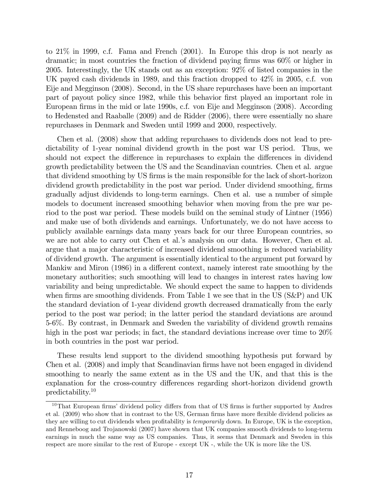to 21% in 1999, c.f. Fama and French (2001). In Europe this drop is not nearly as dramatic; in most countries the fraction of dividend paying firms was  $60\%$  or higher in 2005. Interestingly, the UK stands out as an exception: 92% of listed companies in the UK payed cash dividends in 1989, and this fraction dropped to 42% in 2005, c.f. von Eije and Megginson (2008). Second, in the US share repurchases have been an important part of payout policy since 1982, while this behavior first played an important role in European firms in the mid or late 1990s, c.f. von Eije and Megginson (2008). According to Hedensted and Raaballe (2009) and de Ridder (2006), there were essentially no share repurchases in Denmark and Sweden until 1999 and 2000, respectively.

Chen et al. (2008) show that adding repurchases to dividends does not lead to predictability of 1-year nominal dividend growth in the post war US period. Thus, we should not expect the difference in repurchases to explain the differences in dividend growth predictability between the US and the Scandinavian countries. Chen et al. argue that dividend smoothing by US firms is the main responsible for the lack of short-horizon dividend growth predictability in the post war period. Under dividend smoothing, firms gradually adjust dividends to long-term earnings. Chen et al. use a number of simple models to document increased smoothing behavior when moving from the pre war period to the post war period. These models build on the seminal study of Lintner (1956) and make use of both dividends and earnings. Unfortunately, we do not have access to publicly available earnings data many years back for our three European countries, so we are not able to carry out Chen et al.'s analysis on our data. However, Chen et al. argue that a major characteristic of increased dividend smoothing is reduced variability of dividend growth. The argument is essentially identical to the argument put forward by Mankiw and Miron (1986) in a different context, namely interest rate smoothing by the monetary authorities; such smoothing will lead to changes in interest rates having low variability and being unpredictable. We should expect the same to happen to dividends when firms are smoothing dividends. From Table 1 we see that in the US  $(S\&P)$  and UK the standard deviation of 1-year dividend growth decreased dramatically from the early period to the post war period; in the latter period the standard deviations are around 5-6%. By contrast, in Denmark and Sweden the variability of dividend growth remains high in the post war periods; in fact, the standard deviations increase over time to  $20\%$ in both countries in the post war period.

These results lend support to the dividend smoothing hypothesis put forward by Chen et al. (2008) and imply that Scandinavian firms have not been engaged in dividend smoothing to nearly the same extent as in the US and the UK, and that this is the explanation for the cross-country differences regarding short-horizon dividend growth predictability.<sup>10</sup>

 $10$ That European firms' dividend policy differs from that of US firms is further supported by Andres et al. (2009) who show that in contrast to the US, German firms have more flexible dividend policies as they are willing to cut dividends when profitability is *temporarily* down. In Europe, UK is the exception, and Renneboog and Trojanowski (2007) have shown that UK companies smooth dividends to long-term earnings in much the same way as US companies. Thus, it seems that Denmark and Sweden in this respect are more similar to the rest of Europe - except UK -, while the UK is more like the US.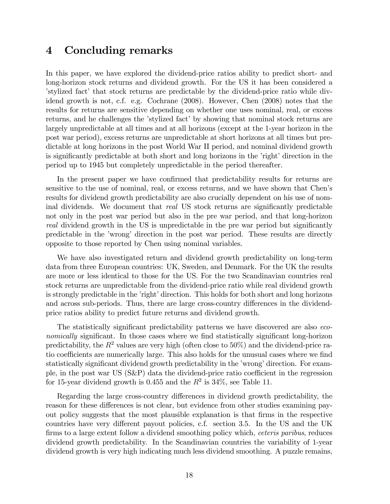### 4 Concluding remarks

In this paper, we have explored the dividend-price ratios ability to predict short- and long-horizon stock returns and dividend growth. For the US it has been considered a ístylized factí that stock returns are predictable by the dividend-price ratio while dividend growth is not, c.f. e.g. Cochrane (2008). However, Chen (2008) notes that the results for returns are sensitive depending on whether one uses nominal, real, or excess returns, and he challenges the 'stylized fact' by showing that nominal stock returns are largely unpredictable at all times and at all horizons (except at the 1-year horizon in the post war period), excess returns are unpredictable at short horizons at all times but predictable at long horizons in the post World War II period, and nominal dividend growth is significantly predictable at both short and long horizons in the 'right' direction in the period up to 1945 but completely unpredictable in the period thereafter.

In the present paper we have confirmed that predictability results for returns are sensitive to the use of nominal, real, or excess returns, and we have shown that Chen's results for dividend growth predictability are also crucially dependent on his use of nominal dividends. We document that real US stock returns are significantly predictable not only in the post war period but also in the pre war period, and that long-horizon real dividend growth in the US is unpredictable in the pre war period but significantly predictable in the íwrongí direction in the post war period. These results are directly opposite to those reported by Chen using nominal variables.

We have also investigated return and dividend growth predictability on long-term data from three European countries: UK, Sweden, and Denmark. For the UK the results are more or less identical to those for the US. For the two Scandinavian countries real stock returns are unpredictable from the dividend-price ratio while real dividend growth is strongly predictable in the 'right' direction. This holds for both short and long horizons and across sub-periods. Thus, there are large cross-country differences in the dividendprice ratios ability to predict future returns and dividend growth.

The statistically significant predictability patterns we have discovered are also economically significant. In those cases where we find statistically significant long-horizon predictability, the  $R^2$  values are very high (often close to 50%) and the dividend-price ratio coefficients are numerically large. This also holds for the unusual cases where we find statistically significant dividend growth predictability in the 'wrong' direction. For example, in the post war US (S&P) data the dividend-price ratio coefficient in the regression for 15-year dividend growth is 0.455 and the  $R^2$  is 34%, see Table 11.

Regarding the large cross-country differences in dividend growth predictability, the reason for these differences is not clear, but evidence from other studies examining payout policy suggests that the most plausible explanation is that Örms in the respective countries have very different payout policies, c.f. section 3.5. In the US and the UK firms to a large extent follow a dividend smoothing policy which, *ceteris paribus*, reduces dividend growth predictability. In the Scandinavian countries the variability of 1-year dividend growth is very high indicating much less dividend smoothing. A puzzle remains,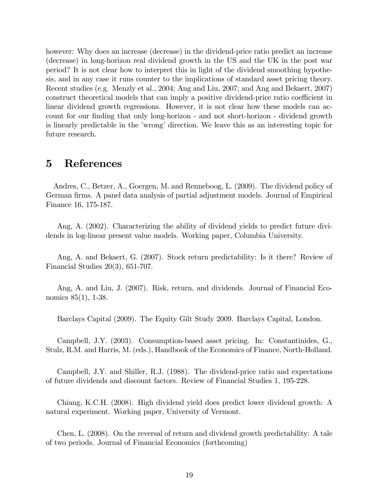however: Why does an increase (decrease) in the dividend-price ratio predict an increase (decrease) in long-horizon real dividend growth in the US and the UK in the post war period? It is not clear how to interpret this in light of the dividend smoothing hypothesis, and in any case it runs counter to the implications of standard asset pricing theory. Recent studies (e.g. Menzly et al., 2004; Ang and Liu, 2007; and Ang and Bekaert, 2007) construct theoretical models that can imply a positive dividend-price ratio coefficient in linear dividend growth regressions. However, it is not clear how these models can account for our finding that only long-horizon - and not short-horizon - dividend growth is linearly predictable in the 'wrong' direction. We leave this as an interesting topic for future research.

### 5 References

Andres, C., Betzer, A., Goergen, M. and Renneboog, L. (2009). The dividend policy of German firms. A panel data analysis of partial adjustment models. Journal of Empirical Finance 16, 175-187.

Ang, A. (2002). Characterizing the ability of dividend yields to predict future dividends in log-linear present value models. Working paper, Columbia University.

Ang, A. and Bekaert, G. (2007). Stock return predictability: Is it there? Review of Financial Studies 20(3), 651-707.

Ang, A. and Liu, J. (2007). Risk, return, and dividends. Journal of Financial Economics 85(1), 1-38.

Barclays Capital (2009). The Equity Gilt Study 2009. Barclays Capital, London.

Campbell, J.Y. (2003). Consumption-based asset pricing. In: Constantinides, G., Stulz, R.M. and Harris, M. (eds.), Handbook of the Economics of Finance, North-Holland.

Campbell, J.Y. and Shiller, R.J. (1988). The dividend-price ratio and expectations of future dividends and discount factors. Review of Financial Studies 1, 195-228.

Chiang, K.C.H. (2008). High dividend yield does predict lower dividend growth: A natural experiment. Working paper, University of Vermont.

Chen, L. (2008). On the reversal of return and dividend growth predictability: A tale of two periods. Journal of Financial Economics (forthcoming)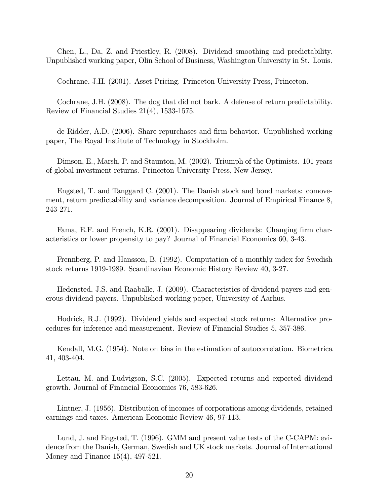Chen, L., Da, Z. and Priestley, R. (2008). Dividend smoothing and predictability. Unpublished working paper, Olin School of Business, Washington University in St. Louis.

Cochrane, J.H. (2001). Asset Pricing. Princeton University Press, Princeton.

Cochrane, J.H. (2008). The dog that did not bark. A defense of return predictability. Review of Financial Studies 21(4), 1533-1575.

de Ridder, A.D. (2006). Share repurchases and firm behavior. Unpublished working paper, The Royal Institute of Technology in Stockholm.

Dimson, E., Marsh, P. and Staunton, M. (2002). Triumph of the Optimists. 101 years of global investment returns. Princeton University Press, New Jersey.

Engsted, T. and Tanggard C. (2001). The Danish stock and bond markets: comovement, return predictability and variance decomposition. Journal of Empirical Finance 8, 243-271.

Fama, E.F. and French, K.R. (2001). Disappearing dividends: Changing firm characteristics or lower propensity to pay? Journal of Financial Economics 60, 3-43.

Frennberg, P. and Hansson, B. (1992). Computation of a monthly index for Swedish stock returns 1919-1989. Scandinavian Economic History Review 40, 3-27.

Hedensted, J.S. and Raaballe, J. (2009). Characteristics of dividend payers and generous dividend payers. Unpublished working paper, University of Aarhus.

Hodrick, R.J. (1992). Dividend yields and expected stock returns: Alternative procedures for inference and measurement. Review of Financial Studies 5, 357-386.

Kendall, M.G. (1954). Note on bias in the estimation of autocorrelation. Biometrica 41, 403-404.

Lettau, M. and Ludvigson, S.C. (2005). Expected returns and expected dividend growth. Journal of Financial Economics 76, 583-626.

Lintner, J. (1956). Distribution of incomes of corporations among dividends, retained earnings and taxes. American Economic Review 46, 97-113.

Lund, J. and Engsted, T. (1996). GMM and present value tests of the C-CAPM: evidence from the Danish, German, Swedish and UK stock markets. Journal of International Money and Finance 15(4), 497-521.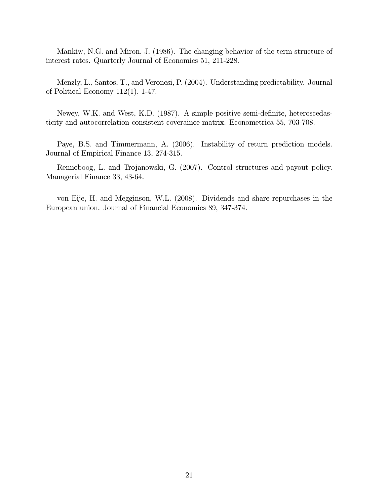Mankiw, N.G. and Miron, J. (1986). The changing behavior of the term structure of interest rates. Quarterly Journal of Economics 51, 211-228.

Menzly, L., Santos, T., and Veronesi, P. (2004). Understanding predictability. Journal of Political Economy 112(1), 1-47.

Newey, W.K. and West, K.D. (1987). A simple positive semi-definite, heteroscedasticity and autocorrelation consistent coveraince matrix. Econometrica 55, 703-708.

Paye, B.S. and Timmermann, A. (2006). Instability of return prediction models. Journal of Empirical Finance 13, 274-315.

Renneboog, L. and Trojanowski, G. (2007). Control structures and payout policy. Managerial Finance 33, 43-64.

von Eije, H. and Megginson, W.L. (2008). Dividends and share repurchases in the European union. Journal of Financial Economics 89, 347-374.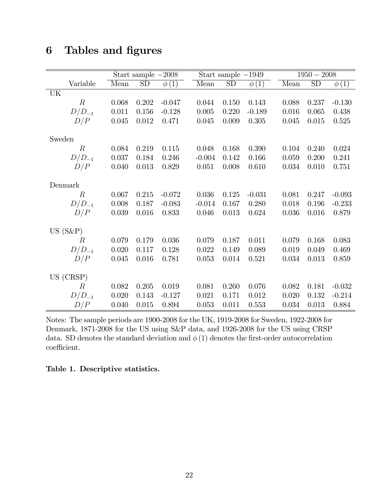|         |                  |       | Start sample $-2008$ |           |           | Start sample $-1949$ |           | $1950 - 2008$ |       |           |
|---------|------------------|-------|----------------------|-----------|-----------|----------------------|-----------|---------------|-------|-----------|
|         | Variable         | Mean  | SD                   | $\phi(1)$ | Mean      | SD                   | $\phi(1)$ | Mean          | SD    | $\phi(1)$ |
| UK      |                  |       |                      |           |           |                      |           |               |       |           |
|         | $\mathbb{R}$     | 0.068 | 0.202                | $-0.047$  | 0.044     | 0.150                | 0.143     | 0.088         | 0.237 | $-0.130$  |
|         | $D/D_{-1}$       | 0.011 | 0.156                | $-0.128$  | 0.005     | 0.220                | $-0.189$  | 0.016         | 0.065 | 0.438     |
|         | D/P              | 0.045 | $0.012\,$            | 0.471     | 0.045     | 0.009                | 0.305     | 0.045         | 0.015 | 0.525     |
|         |                  |       |                      |           |           |                      |           |               |       |           |
| Sweden  |                  |       |                      |           |           |                      |           |               |       |           |
|         | $\boldsymbol{R}$ | 0.084 | 0.219                | 0.115     | 0.048     | 0.168                | 0.390     | 0.104         | 0.240 | 0.024     |
|         | $D/D_{-1}$       | 0.037 | 0.184                | 0.246     | $-0.004$  | 0.142                | 0.166     | 0.059         | 0.200 | 0.241     |
|         | D/P              | 0.040 | 0.013                | 0.829     | 0.051     | 0.008                | 0.610     | 0.034         | 0.010 | 0.751     |
|         |                  |       |                      |           |           |                      |           |               |       |           |
| Denmark |                  |       |                      |           |           |                      |           |               |       |           |
|         | $\mathbb{R}$     | 0.067 | 0.215                | $-0.072$  | 0.036     | 0.125                | $-0.031$  | 0.081         | 0.247 | $-0.093$  |
|         | $D/D_{-1}$       | 0.008 | 0.187                | $-0.083$  | $-0.014$  | 0.167                | 0.280     | 0.018         | 0.196 | $-0.233$  |
|         | D/P              | 0.039 | 0.016                | 0.833     | 0.046     | 0.013                | 0.624     | 0.036         | 0.016 | 0.879     |
|         |                  |       |                      |           |           |                      |           |               |       |           |
|         | $US(S\&P)$       |       |                      |           |           |                      |           |               |       |           |
|         | $\boldsymbol{R}$ | 0.079 | 0.179                | 0.036     | 0.079     | 0.187                | 0.011     | 0.079         | 0.168 | 0.083     |
|         | $D/D_{-1}$       | 0.020 | 0.117                | 0.128     | $0.022\,$ | 0.149                | 0.089     | 0.019         | 0.049 | 0.469     |
|         | D/P              | 0.045 | 0.016                | 0.781     | 0.053     | 0.014                | 0.521     | 0.034         | 0.013 | 0.859     |
|         |                  |       |                      |           |           |                      |           |               |       |           |
|         | US (CRSP)        |       |                      |           |           |                      |           |               |       |           |
|         | $\boldsymbol{R}$ | 0.082 | 0.205                | 0.019     | 0.081     | 0.260                | 0.076     | 0.082         | 0.181 | $-0.032$  |
|         | $D/D_{-1}$       | 0.020 | 0.143                | $-0.127$  | 0.021     | 0.171                | 0.012     | 0.020         | 0.132 | $-0.214$  |
|         | D/P              | 0.040 | 0.015                | 0.894     | 0.053     | 0.011                | 0.553     | 0.034         | 0.013 | 0.884     |

## 6 Tables and figures

Notes: The sample periods are 1900-2008 for the UK, 1919-2008 for Sweden, 1922-2008 for Denmark, 1871-2008 for the US using S&P data, and 1926-2008 for the US using CRSP data. SD denotes the standard deviation and  $\phi(1)$  denotes the first-order autocorrelation coefficient.

### Table 1. Descriptive statistics.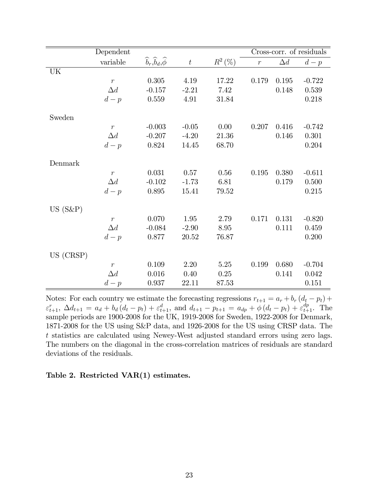|            | Dependent     |                                                |                  |           |                |            | Cross-corr. of residuals |
|------------|---------------|------------------------------------------------|------------------|-----------|----------------|------------|--------------------------|
|            | variable      | $\widehat{b}_r, \widehat{b}_d, \widehat{\phi}$ | $\boldsymbol{t}$ | $R^2$ (%) | $\overline{r}$ | $\Delta d$ | $d-p$                    |
| UK         |               |                                                |                  |           |                |            |                          |
|            | $\mathcal{r}$ | 0.305                                          | 4.19             | 17.22     | 0.179          | 0.195      | $-0.722$                 |
|            | $\Delta d$    | $-0.157$                                       | $-2.21$          | 7.42      |                | 0.148      | 0.539                    |
|            | $d-p$         | 0.559                                          | 4.91             | 31.84     |                |            | 0.218                    |
|            |               |                                                |                  |           |                |            |                          |
| Sweden     |               |                                                |                  |           |                |            |                          |
|            | $\mathcal{r}$ | $-0.003$                                       | $-0.05$          | 0.00      | 0.207          | 0.416      | $-0.742$                 |
|            | $\Delta d$    | $-0.207$                                       | $-4.20$          | 21.36     |                | 0.146      | 0.301                    |
|            | $d-p$         | 0.824                                          | 14.45            | 68.70     |                |            | 0.204                    |
| Denmark    |               |                                                |                  |           |                |            |                          |
|            | $\mathcal{r}$ | 0.031                                          | 0.57             | 0.56      | 0.195          | 0.380      | $-0.611$                 |
|            | $\Delta d$    | $-0.102$                                       | $-1.73$          | 6.81      |                | 0.179      | 0.500                    |
|            | $d-p$         | 0.895                                          | 15.41            | 79.52     |                |            | 0.215                    |
| $US(S\&P)$ |               |                                                |                  |           |                |            |                          |
|            | $\mathcal{r}$ | 0.070                                          | 1.95             | 2.79      | 0.171          | 0.131      | $-0.820$                 |
|            | $\Delta d$    | $-0.084$                                       | $-2.90$          | 8.95      |                | 0.111      | 0.459                    |
|            | $d-p$         | 0.877                                          | 20.52            | 76.87     |                |            | 0.200                    |
| US (CRSP)  |               |                                                |                  |           |                |            |                          |
|            | $\mathcal{r}$ | 0.109                                          | 2.20             | 5.25      | 0.199          | 0.680      | $-0.704$                 |
|            | $\Delta d$    | 0.016                                          | 0.40             | 0.25      |                | 0.141      | 0.042                    |
|            | $d-p$         | 0.937                                          | 22.11            | 87.53     |                |            | 0.151                    |

Notes: For each country we estimate the forecasting regressions  $r_{t+1} = a_r + b_r (d_t - p_t) +$  $\varepsilon_{t+1}^r$ ,  $\Delta d_{t+1} = a_d + b_d (d_t - p_t) + \varepsilon_{t+1}^d$ , and  $d_{t+1} - p_{t+1} = a_{dp} + \phi (d_t - p_t) + \varepsilon_{t+1}^{dp}$ . The sample periods are 1900-2008 for the UK, 1919-2008 for Sweden, 1922-2008 for Denmark, 1871-2008 for the US using S&P data, and 1926-2008 for the US using CRSP data. The t statistics are calculated using Newey-West adjusted standard errors using zero lags. The numbers on the diagonal in the cross-correlation matrices of residuals are standard deviations of the residuals.

### Table 2. Restricted VAR(1) estimates.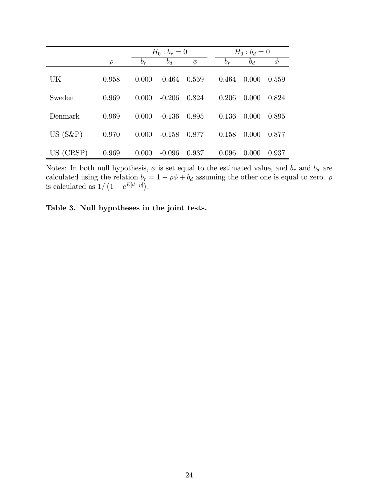|            |        |       | $H_0 : b_r = 0$ |        |       | $H_0 : b_d = 0$ |        |  |  |
|------------|--------|-------|-----------------|--------|-------|-----------------|--------|--|--|
|            | $\rho$ | $b_r$ | $b_d$           | $\phi$ | $b_r$ | $b_d$           | $\phi$ |  |  |
| UK         | 0.958  | 0.000 | $-0.464$        | 0.559  | 0.464 | 0.000           | 0.559  |  |  |
| Sweden     | 0.969  | 0.000 | $-0.206$        | 0.824  | 0.206 | 0.000           | 0.824  |  |  |
| Denmark    | 0.969  | 0.000 | $-0.136$        | 0.895  | 0.136 | 0.000           | 0.895  |  |  |
| $US(S\&P)$ | 0.970  | 0.000 | $-0.158$        | 0.877  | 0.158 | 0.000           | 0.877  |  |  |
| US (CRSP)  | 0.969  | 0.000 | $-0.096$        | 0.937  | 0.096 | 0.000           | 0.937  |  |  |

Notes: In both null hypothesis,  $\phi$  is set equal to the estimated value, and  $b_r$  and  $b_d$  are calculated using the relation  $b_r = 1 - \rho \phi + b_d$  assuming the other one is equal to zero.  $\rho$ is calculated as  $1/ (1 + e^{E[d-p]})$ .

Table 3. Null hypotheses in the joint tests.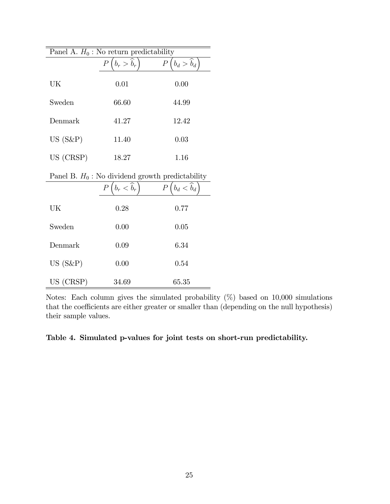| Panel A. $H_0$ : No return predictability |                                   |                                                    |  |  |  |  |  |  |  |  |
|-------------------------------------------|-----------------------------------|----------------------------------------------------|--|--|--|--|--|--|--|--|
|                                           | $b_r > \widehat{b}_r$<br>$\cal P$ | $b_d > \hat{b}_d$<br>$\cal P$                      |  |  |  |  |  |  |  |  |
| UK                                        | 0.01                              | 0.00                                               |  |  |  |  |  |  |  |  |
| Sweden                                    | 66.60                             | 44.99                                              |  |  |  |  |  |  |  |  |
| Denmark                                   | 41.27                             | 12.42                                              |  |  |  |  |  |  |  |  |
| $US(S\&P)$                                | 11.40                             | 0.03                                               |  |  |  |  |  |  |  |  |
| US (CRSP)                                 | 18.27                             | 1.16                                               |  |  |  |  |  |  |  |  |
|                                           |                                   | Panel B. $H_0$ : No dividend growth predictability |  |  |  |  |  |  |  |  |
|                                           | $b_r < b_r$<br>$\boldsymbol{P}$   | $b_d < b_d$<br>$\boldsymbol{P}$                    |  |  |  |  |  |  |  |  |
| UK                                        | 0.28                              | 0.77                                               |  |  |  |  |  |  |  |  |
| Sweden                                    | 0.00                              | 0.05                                               |  |  |  |  |  |  |  |  |
| Denmark                                   | 0.09                              | 6.34                                               |  |  |  |  |  |  |  |  |
| $US(S\&P)$                                | 0.00                              | 0.54                                               |  |  |  |  |  |  |  |  |

US (CRSP) 34.69 65.35

Notes: Each column gives the simulated probability  $(\%)$  based on 10,000 simulations that the coefficients are either greater or smaller than (depending on the null hypothesis) their sample values.

Table 4. Simulated p-values for joint tests on short-run predictability.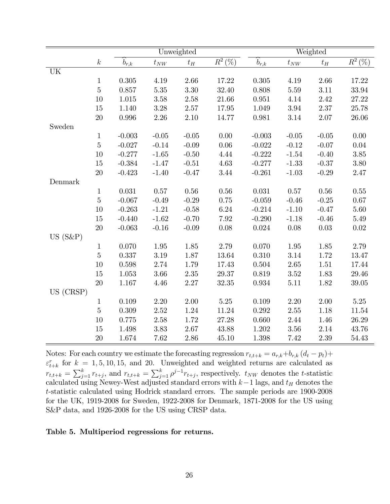|            |                  |           |          | Unweighted   |           |           | Weighted |              |           |  |
|------------|------------------|-----------|----------|--------------|-----------|-----------|----------|--------------|-----------|--|
|            | $\boldsymbol{k}$ | $b_{r,k}$ | $t_{NW}$ | $t_{\cal H}$ | $R^2(\%)$ | $b_{r,k}$ | $t_{NW}$ | $t_{\cal H}$ | $R^2(\%)$ |  |
| UK         |                  |           |          |              |           |           |          |              |           |  |
|            | $\mathbf{1}$     | 0.305     | 4.19     | 2.66         | 17.22     | 0.305     | 4.19     | 2.66         | 17.22     |  |
|            | $\overline{5}$   | 0.857     | 5.35     | 3.30         | 32.40     | 0.808     | 5.59     | 3.11         | 33.94     |  |
|            | 10               | 1.015     | 3.58     | 2.58         | 21.66     | 0.951     | 4.14     | 2.42         | 27.22     |  |
|            | 15               | 1.140     | 3.28     | 2.57         | 17.95     | 1.049     | 3.94     | 2.37         | 25.78     |  |
|            | $20\,$           | 0.996     | 2.26     | 2.10         | 14.77     | 0.981     | 3.14     | 2.07         | 26.06     |  |
| Sweden     |                  |           |          |              |           |           |          |              |           |  |
|            | $1\,$            | $-0.003$  | $-0.05$  | $-0.05$      | $0.00\,$  | $-0.003$  | $-0.05$  | $-0.05$      | 0.00      |  |
|            | $\overline{5}$   | $-0.027$  | $-0.14$  | $-0.09$      | 0.06      | $-0.022$  | $-0.12$  | $-0.07$      | 0.04      |  |
|            | 10               | $-0.277$  | $-1.65$  | $-0.50$      | 4.44      | $-0.222$  | $-1.54$  | $-0.40$      | 3.85      |  |
|            | 15               | $-0.384$  | $-1.47$  | $-0.51$      | 4.63      | $-0.277$  | $-1.33$  | $-0.37$      | 3.80      |  |
|            | 20               | $-0.423$  | $-1.40$  | $-0.47$      | 3.44      | $-0.261$  | $-1.03$  | $-0.29$      | 2.47      |  |
| Denmark    |                  |           |          |              |           |           |          |              |           |  |
|            | $\mathbf{1}$     | 0.031     | 0.57     | $0.56\,$     | 0.56      | 0.031     | 0.57     | 0.56         | 0.55      |  |
|            | $\overline{5}$   | $-0.067$  | $-0.49$  | $-0.29$      | $0.75\,$  | $-0.059$  | $-0.46$  | $-0.25$      | 0.67      |  |
|            | 10               | $-0.263$  | $-1.21$  | $-0.58$      | 6.24      | $-0.214$  | $-1.10$  | $-0.47$      | 5.60      |  |
|            | 15               | $-0.440$  | $-1.62$  | $-0.70$      | 7.92      | $-0.290$  | $-1.18$  | $-0.46$      | $5.49\,$  |  |
|            | $20\,$           | $-0.063$  | $-0.16$  | $-0.09$      | $0.08\,$  | 0.024     | $0.08\,$ | 0.03         | 0.02      |  |
| $US(S\&P)$ |                  |           |          |              |           |           |          |              |           |  |
|            | $1\,$            | 0.070     | $1.95\,$ | 1.85         | 2.79      | 0.070     | 1.95     | 1.85         | 2.79      |  |
|            | $\bf 5$          | 0.337     | 3.19     | 1.87         | 13.64     | 0.310     | 3.14     | 1.72         | 13.47     |  |
|            | 10               | 0.598     | 2.74     | 1.79         | 17.43     | 0.504     | 2.65     | 1.51         | 17.44     |  |
|            | 15               | 1.053     | 3.66     | 2.35         | 29.37     | 0.819     | 3.52     | 1.83         | 29.46     |  |
|            | 20               | 1.167     | 4.46     | 2.27         | 32.35     | 0.934     | 5.11     | 1.82         | 39.05     |  |
| US (CRSP)  |                  |           |          |              |           |           |          |              |           |  |
|            | $\mathbf{1}$     | 0.109     | 2.20     | 2.00         | 5.25      | 0.109     | 2.20     | 2.00         | 5.25      |  |
|            | $\bf 5$          | 0.309     | 2.52     | 1.24         | 11.24     | 0.292     | 2.55     | 1.18         | 11.54     |  |
|            | 10               | 0.775     | 2.58     | 1.72         | 27.28     | 0.660     | 2.44     | 1.46         | 26.29     |  |
|            | 15               | 1.498     | 3.83     | 2.67         | 43.88     | 1.202     | 3.56     | 2.14         | 43.76     |  |
|            | $20\,$           | 1.674     | 7.62     | 2.86         | 45.10     | 1.398     | 7.42     | 2.39         | 54.43     |  |

Notes: For each country we estimate the forecasting regression  $r_{t,t+k} = a_{r,k} + b_{r,k} (d_t - p_t) +$  $\varepsilon_{t+k}^{r}$  for  $k = 1, 5, 10, 15$ , and 20. Unweighted and weighted returns are calculated as  $r_{t,t+k} = \sum_{j=1}^{k} r_{t+j}$ , and  $r_{t,t+k} = \sum_{j=1}^{k} \rho^{j-1} r_{t+j}$ , respectively.  $t_{NW}$  denotes the t-statistic calculated using Newey-West adjusted standard errors with  $k-1$  lags, and  $t_H$  denotes the t-statistic calculated using Hodrick standard errors. The sample periods are 1900-2008 for the UK, 1919-2008 for Sweden, 1922-2008 for Denmark, 1871-2008 for the US using S&P data, and 1926-2008 for the US using CRSP data.

#### Table 5. Multiperiod regressions for returns.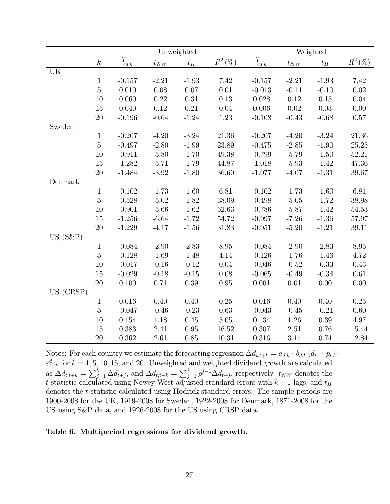|                 |                  |           |          | Unweighted     |           |           |          | Weighted     |           |
|-----------------|------------------|-----------|----------|----------------|-----------|-----------|----------|--------------|-----------|
|                 | $\boldsymbol{k}$ | $b_{d,k}$ | $t_{NW}$ | $t_{\cal H}$   | $R^2(\%)$ | $b_{d,k}$ | $t_{NW}$ | $t_{\cal H}$ | $R^2(\%)$ |
| $\overline{UK}$ |                  |           |          |                |           |           |          |              |           |
|                 | $\mathbf{1}$     | $-0.157$  | $-2.21$  | $-1.93$        | 7.42      | $-0.157$  | $-2.21$  | $-1.93$      | 7.42      |
|                 | $\bf 5$          | 0.010     | 0.08     | $0.07\,$       | 0.01      | $-0.013$  | $-0.11$  | $-0.10$      | 0.02      |
|                 | 10               | 0.060     | 0.22     | 0.31           | 0.13      | 0.028     | 0.12     | $0.15\,$     | 0.04      |
|                 | 15               | 0.040     | $0.12\,$ | 0.21           | 0.04      | 0.006     | 0.02     | $0.03\,$     | 0.00      |
|                 | 20               | $-0.196$  | $-0.64$  | $-1.24$        | $1.23\,$  | $-0.108$  | $-0.43$  | $-0.68$      | 0.57      |
| Sweden          |                  |           |          |                |           |           |          |              |           |
|                 | $\mathbf 1$      | $-0.207$  | $-4.20$  | $-3.24$        | 21.36     | $-0.207$  | $-4.20$  | $-3.24$      | $21.36\,$ |
|                 | $\mathbf 5$      | $-0.497$  | $-2.80$  | $-1.99$        | 23.89     | $-0.475$  | $-2.85$  | $-1.90$      | 25.25     |
|                 | 10               | $-0.911$  | $-5.80$  | $-1.70$        | 49.38     | $-0.799$  | $-5.79$  | $-1.50$      | 52.21     |
|                 | 15               | $-1.282$  | $-5.71$  | $-1.79$        | 44.87     | $-1.018$  | $-5.93$  | $-1.42$      | 47.36     |
|                 | 20               | $-1.484$  | $-3.92$  | $-1.80$        | 36.60     | $-1.077$  | $-4.07$  | $-1.31$      | 39.67     |
| Denmark         |                  |           |          |                |           |           |          |              |           |
|                 | $\mathbf{1}$     | $-0.102$  | $-1.73$  | $-1.60$        | 6.81      | $-0.102$  | $-1.73$  | $-1.60$      | 6.81      |
|                 | $\bf 5$          | $-0.528$  | $-5.02$  | $-1.82$        | 38.09     | $-0.498$  | $-5.05$  | $-1.72$      | 38.98     |
|                 | 10               | $-0.901$  | $-5.66$  | $-1.62$        | 52.63     | $-0.786$  | $-5.87$  | $-1.42$      | 54.53     |
|                 | 15               | $-1.256$  | $-6.64$  | $-1.72$        | 54.72     | $-0.997$  | $-7.26$  | $-1.36$      | 57.97     |
|                 | $20\,$           | $-1.229$  | $-4.17$  | $\mbox{-}1.56$ | 31.83     | $-0.951$  | $-5.20$  | $-1.21$      | 39.11     |
| $US(S\&P)$      |                  |           |          |                |           |           |          |              |           |
|                 | $\mathbf{1}$     | $-0.084$  | $-2.90$  | $-2.83$        | $8.95\,$  | $-0.084$  | $-2.90$  | $-2.83$      | 8.95      |
|                 | $\bf 5$          | $-0.128$  | $-1.69$  | $-1.48$        | 4.14      | $-0.126$  | $-1.76$  | $-1.46$      | 4.72      |
|                 | 10               | $-0.017$  | $-0.16$  | $-0.12$        | 0.04      | $-0.046$  | $-0.52$  | $-0.33$      | 0.43      |
|                 | 15               | $-0.029$  | $-0.18$  | $-0.15$        | 0.08      | $-0.065$  | $-0.49$  | $-0.34$      | 0.61      |
|                 | 20               | $0.100\,$ | 0.71     | $0.39\,$       | $0.95\,$  | 0.001     | $0.01\,$ | $0.00\,$     | 0.00      |
| US (CRSP)       |                  |           |          |                |           |           |          |              |           |
|                 | $\mathbf{1}$     | 0.016     | 0.40     | 0.40           | 0.25      | 0.016     | 0.40     | 0.40         | 0.25      |
|                 | $\overline{5}$   | $-0.047$  | $-0.46$  | $-0.23$        | 0.63      | $-0.043$  | $-0.45$  | $-0.21$      | 0.60      |
|                 | 10               | 0.154     | 1.18     | $0.45\,$       | $5.05\,$  | 0.134     | 1.26     | $0.39\,$     | 4.97      |
|                 | 15               | 0.383     | 2.41     | $0.95\,$       | 16.52     | 0.307     | 2.51     | 0.76         | 15.44     |
|                 | 20               | 0.362     | 2.61     | 0.85           | 10.31     | 0.316     | 3.14     | 0.74         | 12.84     |

Notes: For each country we estimate the forecasting regression  $\Delta d_{t,t+k} = a_{d,k} + b_{d,k} (d_t - p_t) +$  $\varepsilon_{t+k}^d$  for  $k = 1, 5, 10, 15, \text{ and } 20$ . Unweighted and weighted dividend growth are calculated as  $\Delta d_{t,t+k} = \sum_{j=1}^k \Delta d_{t+j}$ , and  $\Delta d_{t,t+k} = \sum_{j=1}^k \rho^{j-1} \Delta d_{t+j}$ , respectively.  $t_{NW}$  denotes the t-statistic calculated using Newey-West adjusted standard errors with  $k - 1$  lags, and  $t_H$ denotes the t-statistic calculated using Hodrick standard errors. The sample periods are 1900-2008 for the UK, 1919-2008 for Sweden, 1922-2008 for Denmark, 1871-2008 for the US using S&P data, and 1926-2008 for the US using CRSP data.

### Table 6. Multiperiod regressions for dividend growth.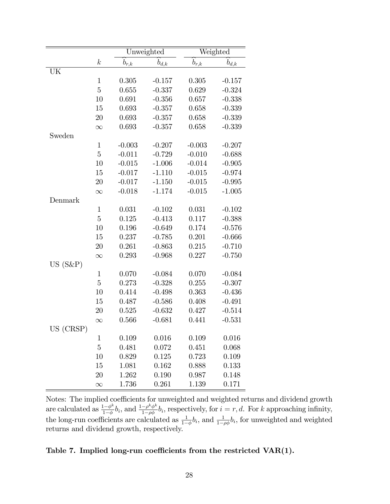|            |                  |                       | Unweighted |                       | Weighted              |
|------------|------------------|-----------------------|------------|-----------------------|-----------------------|
|            | $\boldsymbol{k}$ | $b_{r,\underline{k}}$ | $b_{d,k}$  | $b_{r,\underline{k}}$ | $b_{d,\underline{k}}$ |
| UK         |                  |                       |            |                       |                       |
|            | $\mathbf 1$      | 0.305                 | $-0.157$   | 0.305                 | $-0.157$              |
|            | $\overline{5}$   | 0.655                 | $-0.337$   | 0.629                 | $-0.324$              |
|            | 10               | 0.691                 | $-0.356$   | 0.657                 | $-0.338$              |
|            | 15               | 0.693                 | $-0.357$   | 0.658                 | $-0.339$              |
|            | 20               | 0.693                 | $-0.357$   | 0.658                 | $-0.339$              |
|            | $\infty$         | 0.693                 | $-0.357$   | 0.658                 | $-0.339$              |
| Sweden     |                  |                       |            |                       |                       |
|            | $\mathbf{1}$     | $-0.003$              | $-0.207$   | $-0.003$              | $-0.207$              |
|            | $\overline{5}$   | $-0.011$              | $-0.729$   | $-0.010$              | $-0.688$              |
|            | 10               | $-0.015$              | $-1.006$   | $-0.014$              | $-0.905$              |
|            | 15               | $-0.017$              | $-1.110$   | $-0.015$              | $-0.974$              |
|            | 20               | $-0.017$              | $-1.150$   | $-0.015$              | $-0.995$              |
|            | $\infty$         | $-0.018$              | $-1.174$   | $-0.015$              | $-1.005$              |
| Denmark    |                  |                       |            |                       |                       |
|            | $\mathbf 1$      | 0.031                 | $-0.102$   | 0.031                 | $-0.102$              |
|            | $\overline{5}$   | 0.125                 | $-0.413$   | 0.117                 | $-0.388$              |
|            | 10               | 0.196                 | $-0.649$   | 0.174                 | $-0.576$              |
|            | 15               | 0.237                 | $-0.785$   | 0.201                 | $-0.666$              |
|            | 20               | 0.261                 | $-0.863$   | 0.215                 | $-0.710$              |
|            | $\infty$         | 0.293                 | $-0.968$   | 0.227                 | $-0.750$              |
| $US(S\&P)$ |                  |                       |            |                       |                       |
|            | $\mathbf{1}$     | 0.070                 | $-0.084$   | 0.070                 | $-0.084$              |
|            | $\overline{5}$   | 0.273                 | $-0.328$   | 0.255                 | $-0.307$              |
|            | 10               | 0.414                 | $-0.498$   | 0.363                 | $-0.436$              |
|            | 15               | 0.487                 | $-0.586$   | 0.408                 | $-0.491$              |
|            | 20               | 0.525                 | $-0.632$   | 0.427                 | $-0.514$              |
|            | $\infty$         | 0.566                 | $-0.681$   | 0.441                 | $-0.531$              |
| US (CRSP)  |                  |                       |            |                       |                       |
|            | $\mathbf 1$      | 0.109                 | 0.016      | 0.109                 | 0.016                 |
|            | $\overline{5}$   | 0.481                 | 0.072      | 0.451                 | 0.068                 |
|            | 10               | 0.829                 | 0.125      | 0.723                 | 0.109                 |
|            | 15               | 1.081                 | 0.162      | 0.888                 | 0.133                 |
|            | 20               | 1.262                 | 0.190      | 0.987                 | 0.148                 |
|            | $\infty$         | 1.736                 | 0.261      | 1.139                 | 0.171                 |

Notes: The implied coefficients for unweighted and weighted returns and dividend growth are calculated as  $\frac{1-\phi^k}{1-\phi}$  $\frac{1-\phi^k}{1-\phi}b_i$ , and  $\frac{1-\rho^k\phi^k}{1-\rho\phi}b_i$ , respectively, for  $i=r,d$ . For k approaching infinity, the long-run coefficients are calculated as  $\frac{1}{1-\phi}b_i$ , and  $\frac{1}{1-\rho\phi}b_i$ , for unweighted and weighted returns and dividend growth, respectively.

### Table 7. Implied long-run coefficients from the restricted VAR $(1)$ .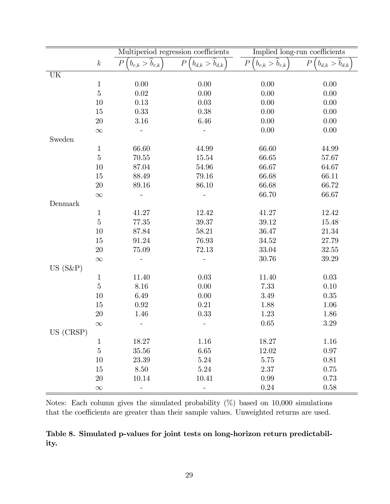|                                   |                  |                                         | Multiperiod regression coefficients                     |                                                   | Implied long-run coefficients           |
|-----------------------------------|------------------|-----------------------------------------|---------------------------------------------------------|---------------------------------------------------|-----------------------------------------|
|                                   | $\boldsymbol{k}$ | $\boldsymbol{P}$<br>$b_{r,k} > b_{r,k}$ | $\hat{b}_{d,k} > \widehat{b}_{d,k}$<br>$\boldsymbol{P}$ | $b_{r,k} > \widehat{b}_{r,k}$<br>$\boldsymbol{P}$ | $\boldsymbol{P}$<br>$b_{d,k} > b_{d,k}$ |
| $\ensuremath{\mathrm{UK}}\xspace$ |                  |                                         |                                                         |                                                   |                                         |
|                                   | $\mathbf{1}$     | 0.00                                    | 0.00                                                    | 0.00                                              | 0.00                                    |
|                                   | $\bf 5$          | 0.02                                    | 0.00                                                    | 0.00                                              | 0.00                                    |
|                                   | 10               | 0.13                                    | 0.03                                                    | 0.00                                              | 0.00                                    |
|                                   | 15               | 0.33                                    | 0.38                                                    | 0.00                                              | 0.00                                    |
|                                   | $20\,$           | 3.16                                    | 6.46                                                    | 0.00                                              | 0.00                                    |
|                                   | $\infty$         |                                         |                                                         | 0.00                                              | 0.00                                    |
| Sweden                            |                  |                                         |                                                         |                                                   |                                         |
|                                   | $\mathbf{1}$     | 66.60                                   | 44.99                                                   | 66.60                                             | 44.99                                   |
|                                   | $\bf 5$          | 70.55                                   | 15.54                                                   | 66.65                                             | 57.67                                   |
|                                   | 10               | 87.04                                   | 54.96                                                   | 66.67                                             | 64.67                                   |
|                                   | 15               | 88.49                                   | 79.16                                                   | 66.68                                             | 66.11                                   |
|                                   | $20\,$           | 89.16                                   | 86.10                                                   | 66.68                                             | 66.72                                   |
|                                   | $\infty$         |                                         |                                                         | 66.70                                             | 66.67                                   |
| Denmark                           |                  |                                         |                                                         |                                                   |                                         |
|                                   | $\mathbf{1}$     | 41.27                                   | 12.42                                                   | 41.27                                             | 12.42                                   |
|                                   | $\bf 5$          | 77.35                                   | 39.37                                                   | 39.12                                             | 15.48                                   |
|                                   | $10\,$           | 87.84                                   | 58.21                                                   | 36.47                                             | 21.34                                   |
|                                   | 15               | 91.24                                   | 76.93                                                   | 34.52                                             | 27.79                                   |
|                                   | $20\,$           | 75.09                                   | 72.13                                                   | 33.04                                             | 32.55                                   |
|                                   | $\infty$         |                                         |                                                         | 30.76                                             | 39.29                                   |
| $US(S\&P)$                        |                  |                                         |                                                         |                                                   |                                         |
|                                   | $\mathbf{1}$     | 11.40                                   | 0.03                                                    | 11.40                                             | 0.03                                    |
|                                   | $\bf 5$          | 8.16                                    | 0.00                                                    | 7.33                                              | 0.10                                    |
|                                   | 10               | 6.49                                    | 0.00                                                    | 3.49                                              | 0.35                                    |
|                                   | 15               | 0.92                                    | 0.21                                                    | 1.88                                              | 1.06                                    |
|                                   | 20               | 1.46                                    | 0.33                                                    | 1.23                                              | 1.86                                    |
|                                   | $\infty$         |                                         |                                                         | 0.65                                              | $3.29\,$                                |
| US (CRSP)                         |                  |                                         |                                                         |                                                   |                                         |
|                                   | $\mathbf{1}$     | 18.27                                   | 1.16                                                    | 18.27                                             | 1.16                                    |
|                                   | $\bf 5$          | 35.56                                   | 6.65                                                    | 12.02                                             | 0.97                                    |
|                                   | 10               | 23.39                                   | $5.24\,$                                                | 5.75                                              | 0.81                                    |
|                                   | 15               | 8.50                                    | 5.24                                                    | 2.37                                              | 0.75                                    |
|                                   | $20\,$           | 10.14                                   | 10.41                                                   | 0.99                                              | 0.73                                    |
|                                   | $\infty$         | -                                       |                                                         | 0.24                                              | 0.58                                    |

Notes: Each column gives the simulated probability  $(\%)$  based on 10,000 simulations that the coefficients are greater than their sample values. Unweighted returns are used.

### Table 8. Simulated p-values for joint tests on long-horizon return predictability.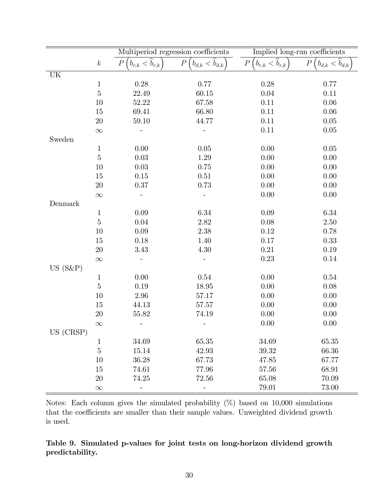|                                   |                  |                                         | Multiperiod regression coefficients       |                                         | Implied long-run coefficients   |
|-----------------------------------|------------------|-----------------------------------------|-------------------------------------------|-----------------------------------------|---------------------------------|
|                                   | $\boldsymbol{k}$ | $\boldsymbol{P}$<br>$b_{r,k} < b_{r,k}$ | $b_{d,k} < \widehat{b}_{d,k}$<br>$\cal P$ | $b_{r,k} < b_{r,k}$<br>$\boldsymbol{P}$ | $b_{d,k} < b_{d,k}$<br>$\cal P$ |
| $\ensuremath{\mathrm{UK}}\xspace$ |                  |                                         |                                           |                                         |                                 |
|                                   | $\mathbf{1}$     | 0.28                                    | 0.77                                      | 0.28                                    | 0.77                            |
|                                   | $\bf 5$          | 22.49                                   | 60.15                                     | 0.04                                    | 0.11                            |
|                                   | 10               | 52.22                                   | 67.58                                     | 0.11                                    | 0.06                            |
|                                   | 15               | 69.41                                   | 66.80                                     | 0.11                                    | 0.06                            |
|                                   | $20\,$           | 59.10                                   | 44.77                                     | 0.11                                    | 0.05                            |
|                                   | $\infty$         |                                         |                                           | 0.11                                    | 0.05                            |
| Sweden                            |                  |                                         |                                           |                                         |                                 |
|                                   | $\mathbf{1}$     | 0.00                                    | $0.05\,$                                  | 0.00                                    | 0.05                            |
|                                   | $\bf 5$          | 0.03                                    | 1.29                                      | 0.00                                    | 0.00                            |
|                                   | 10               | 0.03                                    | 0.75                                      | 0.00                                    | 0.00                            |
|                                   | 15               | 0.15                                    | 0.51                                      | 0.00                                    | 0.00                            |
|                                   | $20\,$           | 0.37                                    | 0.73                                      | 0.00                                    | 0.00                            |
|                                   | $\infty$         |                                         |                                           | 0.00                                    | 0.00                            |
| Denmark                           |                  |                                         |                                           |                                         |                                 |
|                                   | $\mathbf{1}$     | 0.09                                    | $6.34\,$                                  | 0.09                                    | $6.34\,$                        |
|                                   | $\bf 5$          | 0.04                                    | 2.82                                      | 0.08                                    | 2.50                            |
|                                   | 10               | $0.09\,$                                | 2.38                                      | 0.12                                    | 0.78                            |
|                                   | 15               | 0.18                                    | 1.40                                      | 0.17                                    | 0.33                            |
|                                   | 20               | 3.43                                    | 4.30                                      | 0.21                                    | 0.19                            |
|                                   | $\infty$         |                                         |                                           | 0.23                                    | 0.14                            |
| $US(S\&P)$                        |                  |                                         |                                           |                                         |                                 |
|                                   | $\mathbf{1}$     | 0.00                                    | $0.54\,$                                  | 0.00                                    | 0.54                            |
|                                   | $\bf 5$          | 0.19                                    | 18.95                                     | 0.00                                    | 0.08                            |
|                                   | 10               | 2.96                                    | 57.17                                     | 0.00                                    | 0.00                            |
|                                   | 15               | 44.13                                   | 57.57                                     | 0.00                                    | 0.00                            |
|                                   | $20\,$           | 55.82                                   | 74.19                                     | 0.00                                    | 0.00                            |
|                                   | $\infty$         |                                         |                                           | 0.00                                    | 0.00                            |
| US (CRSP)                         |                  |                                         |                                           |                                         |                                 |
|                                   | $\mathbf{1}$     | 34.69                                   | 65.35                                     | 34.69                                   | 65.35                           |
|                                   | $\bf 5$          | 15.14                                   | 42.93                                     | 39.32                                   | 66.36                           |
|                                   | 10               | 36.28                                   | 67.73                                     | 47.85                                   | 67.77                           |
|                                   | 15               | 74.61                                   | 77.96                                     | 57.56                                   | 68.91                           |
|                                   | $20\,$           | 74.25                                   | 72.56                                     | 65.08                                   | 70.09                           |
|                                   | $\infty$         |                                         |                                           | 79.01                                   | 73.00                           |

Notes: Each column gives the simulated probability  $(\%)$  based on 10,000 simulations that the coefficients are smaller than their sample values. Unweighted dividend growth is used.

Table 9. Simulated p-values for joint tests on long-horizon dividend growth predictability.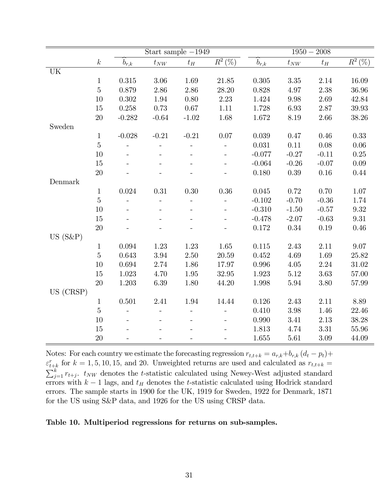|                 |                  |                       |                | Start sample $-1949$ |                      |                       | $1950 - 2008$ |              |           |  |
|-----------------|------------------|-----------------------|----------------|----------------------|----------------------|-----------------------|---------------|--------------|-----------|--|
|                 | $\boldsymbol{k}$ | $b_{r,\underline{k}}$ | $t_{NW}$       | $t_H$                | $\overline{R}^2$ (%) | $b_{r,\underline{k}}$ | $t_{NW}$      | $t_{\cal H}$ | $R^2(\%)$ |  |
| $\overline{UK}$ |                  |                       |                |                      |                      |                       |               |              |           |  |
|                 | $\mathbf{1}$     | 0.315                 | 3.06           | 1.69                 | 21.85                | 0.305                 | 3.35          | 2.14         | 16.09     |  |
|                 | $\bf 5$          | 0.879                 | 2.86           | 2.86                 | 28.20                | 0.828                 | 4.97          | 2.38         | 36.96     |  |
|                 | 10               | 0.302                 | 1.94           | $0.80\,$             | $2.23\,$             | 1.424                 | 9.98          | 2.69         | 42.84     |  |
|                 | $15\,$           | 0.258                 | 0.73           | $0.67\,$             | 1.11                 | 1.728                 | 6.93          | 2.87         | 39.93     |  |
|                 | $20\,$           | $-0.282$              | $-0.64$        | $-1.02$              | 1.68                 | 1.672                 | 8.19          | 2.66         | 38.26     |  |
| Sweden          |                  |                       |                |                      |                      |                       |               |              |           |  |
|                 | $1\,$            | $-0.028$              | $-0.21$        | $-0.21$              | $0.07\,$             | 0.039                 | 0.47          | 0.46         | 0.33      |  |
|                 | $\bf 5$          |                       |                |                      |                      | 0.031                 | 0.11          | 0.08         | $0.06\,$  |  |
|                 | 10               |                       |                |                      |                      | $-0.077$              | $-0.27$       | $-0.11$      | $0.25\,$  |  |
|                 | 15               |                       |                |                      |                      | $-0.064$              | $-0.26$       | $-0.07$      | $0.09\,$  |  |
|                 | 20               |                       |                |                      |                      | 0.180                 | $0.39\,$      | $0.16\,$     | 0.44      |  |
| Denmark         |                  |                       |                |                      |                      |                       |               |              |           |  |
|                 | $\,1$            | $\,0.024\,$           | $0.31\,$       | $0.30\,$             | $0.36\,$             | 0.045                 | 0.72          | 0.70         | 1.07      |  |
|                 | $\overline{5}$   |                       |                |                      |                      | $-0.102$              | $-0.70$       | $-0.36$      | 1.74      |  |
|                 | 10               | $\overline{a}$        |                |                      |                      | $-0.310$              | $-1.50$       | $-0.57$      | 9.32      |  |
|                 | $15\,$           |                       |                |                      |                      | $-0.478$              | $-2.07$       | $-0.63$      | 9.31      |  |
|                 | $20\,$           |                       |                |                      |                      | 0.172                 | $0.34\,$      | $0.19\,$     | $0.46\,$  |  |
| $US(S\&P)$      |                  |                       |                |                      |                      |                       |               |              |           |  |
|                 | $\mathbf{1}$     | 0.094                 | 1.23           | 1.23                 | 1.65                 | 0.115                 | 2.43          | 2.11         | 9.07      |  |
|                 | $\overline{5}$   | 0.643                 | 3.94           | $2.50\,$             | 20.59                | 0.452                 | 4.69          | 1.69         | 25.82     |  |
|                 | 10               | 0.694                 | 2.74           | 1.86                 | 17.97                | 0.996                 | $4.05\,$      | 2.24         | 31.02     |  |
|                 | 15               | 1.023                 | 4.70           | $1.95\,$             | $32.95\,$            | 1.923                 | $5.12\,$      | 3.63         | 57.00     |  |
|                 | $20\,$           | 1.203                 | 6.39           | 1.80                 | 44.20                | 1.998                 | 5.94          | 3.80         | 57.99     |  |
| US (CRSP)       |                  |                       |                |                      |                      |                       |               |              |           |  |
|                 | $\mathbf{1}$     | $0.501\,$             | 2.41           | 1.94                 | 14.44                | 0.126                 | 2.43          | 2.11         | 8.89      |  |
|                 | $\bf 5$          |                       |                |                      |                      | 0.410                 | 3.98          | 1.46         | 22.46     |  |
|                 | 10               |                       |                |                      |                      | 0.990                 | 3.41          | 2.13         | 38.28     |  |
|                 | 15               |                       |                |                      |                      | 1.813                 | 4.74          | 3.31         | 55.96     |  |
|                 | 20               |                       | $\overline{a}$ |                      |                      | 1.655                 | 5.61          | 3.09         | 44.09     |  |

Notes: For each country we estimate the forecasting regression  $r_{t,t+k} = a_{r,k} + b_{r,k} (d_t - p_t) +$  $\varepsilon_{t+k}^r$  for  $k = 1, 5, 10, 15$ , and 20. Unweighted returns are used and calculated as  $r_{t,t+k} =$  $\sum_{j=1}^{k} r_{t+j}$ .  $t_{NW}$  denotes the t-statistic calculated using Newey-West adjusted standard errors with  $k-1$  lags, and  $t_H$  denotes the t-statistic calculated using Hodrick standard errors. The sample starts in 1900 for the UK, 1919 for Sweden, 1922 for Denmark, 1871 for the US using S&P data, and 1926 for the US using CRSP data.

### Table 10. Multiperiod regressions for returns on sub-samples.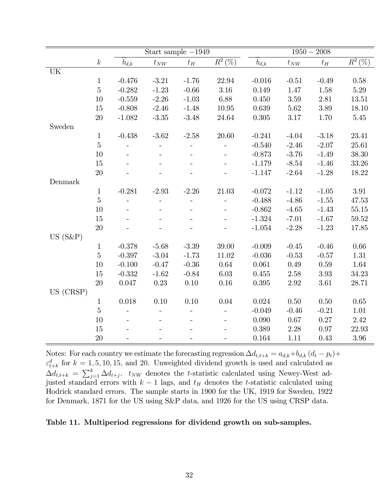|                 |                  |           |          | Start sample $-1949$ |           |           | $1950 - 2008$ |              |                        |  |
|-----------------|------------------|-----------|----------|----------------------|-----------|-----------|---------------|--------------|------------------------|--|
|                 | $\boldsymbol{k}$ | $b_{d,k}$ | $t_{NW}$ | $t_{\cal H}$         | $R^2(\%)$ | $b_{d,k}$ | $t_{NW}$      | $t_{\cal H}$ | $R^{2}\left(\%\right)$ |  |
| $\overline{UK}$ |                  |           |          |                      |           |           |               |              |                        |  |
|                 | $\mathbf{1}$     | $-0.476$  | $-3.21$  | $-1.76$              | 22.94     | $-0.016$  | $-0.51$       | $-0.49$      | 0.58                   |  |
|                 | $\bf 5$          | $-0.282$  | $-1.23$  | $-0.66$              | 3.16      | 0.149     | 1.47          | 1.58         | $5.29\,$               |  |
|                 | 10               | $-0.559$  | $-2.26$  | $-1.03$              | 6.88      | 0.450     | $3.59\,$      | 2.81         | 13.51                  |  |
|                 | 15               | $-0.808$  | $-2.46$  | $-1.48$              | 10.95     | 0.639     | 5.62          | 3.89         | 18.10                  |  |
|                 | $20\,$           | $-1.082$  | $-3.35$  | $-3.48$              | 24.64     | 0.305     | 3.17          | 1.70         | $5.45\,$               |  |
| Sweden          |                  |           |          |                      |           |           |               |              |                        |  |
|                 | $\mathbf{1}$     | $-0.438$  | $-3.62$  | $-2.58$              | 20.60     | $-0.241$  | $-4.04$       | $-3.18$      | 23.41                  |  |
|                 | $\overline{5}$   |           |          |                      |           | $-0.540$  | $-2.46$       | $-2.07$      | 25.61                  |  |
|                 | 10               |           |          |                      |           | $-0.873$  | $-3.76$       | $-1.49$      | 38.30                  |  |
|                 | $15\,$           |           |          |                      |           | $-1.179$  | $-8.54$       | $-1.46$      | $33.26\,$              |  |
|                 | 20               |           |          |                      |           | $-1.147$  | $-2.64$       | $-1.28$      | 18.22                  |  |
| Denmark         |                  |           |          |                      |           |           |               |              |                        |  |
|                 | $\mathbf{1}$     | $-0.281$  | $-2.93$  | $-2.26$              | 21.03     | $-0.072$  | $-1.12$       | $-1.05$      | $3.91\,$               |  |
|                 | $\bf 5$          |           |          |                      |           | $-0.488$  | $-4.86$       | $-1.55$      | 47.53                  |  |
|                 | $10\,$           |           |          |                      |           | $-0.862$  | $-4.65$       | $-1.43$      | 55.15                  |  |
|                 | 15               |           |          |                      |           | $-1.324$  | $-7.01$       | $-1.67$      | 59.52                  |  |
|                 | $20\,$           |           |          |                      |           | $-1.054$  | $-2.28$       | $-1.23$      | 17.85                  |  |
| $US(S\&P)$      |                  |           |          |                      |           |           |               |              |                        |  |
|                 | $\mathbf{1}$     | $-0.378$  | $-5.68$  | $-3.39$              | 39.00     | $-0.009$  | $-0.45$       | $-0.46$      | 0.66                   |  |
|                 | $\overline{5}$   | $-0.397$  | $-3.04$  | $-1.73$              | 11.02     | $-0.036$  | $-0.53$       | $-0.57$      | 1.31                   |  |
|                 | 10               | $-0.100$  | $-0.47$  | $-0.36$              | 0.64      | 0.061     | 0.49          | $0.59\,$     | 1.64                   |  |
|                 | 15               | $-0.332$  | $-1.62$  | $-0.84$              | 6.03      | 0.455     | 2.58          | 3.93         | 34.23                  |  |
|                 | $20\,$           | 0.047     | $0.23\,$ | $0.10\,$             | $0.16\,$  | 0.395     | 2.92          | $3.61\,$     | 28.71                  |  |
| US (CRSP)       |                  |           |          |                      |           |           |               |              |                        |  |
|                 | $\mathbf{1}$     | 0.018     | 0.10     | $0.10\,$             | $0.04\,$  | 0.024     | 0.50          | 0.50         | $0.65\,$               |  |
|                 | $\overline{5}$   |           |          |                      |           | $-0.049$  | $-0.46$       | $-0.21$      | 1.01                   |  |
|                 | $10\,$           |           |          |                      |           | $0.090\,$ | $0.67\,$      | 0.27         | 2.42                   |  |
|                 | 15               |           |          |                      |           | 0.389     | 2.28          | 0.97         | 22.93                  |  |
|                 | 20               |           |          | $\overline{a}$       |           | 0.164     | 1.11          | 0.43         | 3.96                   |  |

Notes: For each country we estimate the forecasting regression  $\Delta d_{t,t+k} = a_{d,k} + b_{d,k} (d_t - p_t) +$  $\varepsilon_{t+k}^d$  for  $k = 1, 5, 10, 15, \text{ and } 20$ . Unweighted dividend growth is used and calculated as  $\Delta d_{t,t+k} = \sum_{j=1}^{k} \Delta d_{t+j}$ .  $t_{NW}$  denotes the t-statistic calculated using Newey-West adjusted standard errors with  $k-1$  lags, and  $t_H$  denotes the t-statistic calculated using Hodrick standard errors. The sample starts in 1900 for the UK, 1919 for Sweden, 1922 for Denmark, 1871 for the US using S&P data, and 1926 for the US using CRSP data.

### Table 11. Multiperiod regressions for dividend growth on sub-samples.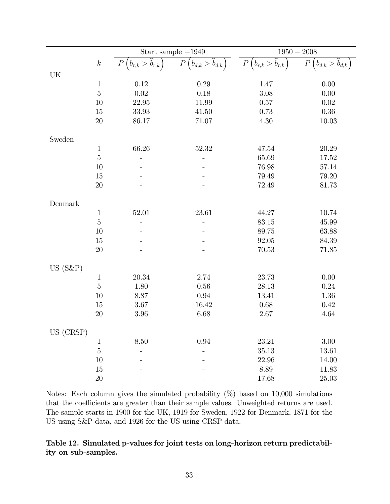|                                   |                  |                                                             | Start sample $-1949$                                        |                                                   | $\overline{1950} - 2008$                |
|-----------------------------------|------------------|-------------------------------------------------------------|-------------------------------------------------------------|---------------------------------------------------|-----------------------------------------|
|                                   | $\boldsymbol{k}$ | $\widehat{b_{r,k}} > \widehat{b}_{r,k}$<br>$\boldsymbol{P}$ | $\widehat{b_{d,k}} > \widehat{b}_{d,k}$<br>$\boldsymbol{P}$ | $\boxed{b_{r,k} > \widehat{b}_{r,k}}$<br>$\cal P$ | $\boldsymbol{P}$<br>$b_{d,k} > b_{d,k}$ |
| $\ensuremath{\mathrm{UK}}\xspace$ |                  |                                                             |                                                             |                                                   |                                         |
|                                   | $\mathbf{1}$     | $0.12\,$                                                    | 0.29                                                        | 1.47                                              | 0.00                                    |
|                                   | $\bf 5$          | $0.02\,$                                                    | 0.18                                                        | 3.08                                              | 0.00                                    |
|                                   | 10               | 22.95                                                       | 11.99                                                       | 0.57                                              | 0.02                                    |
|                                   | 15               | 33.93                                                       | 41.50                                                       | 0.73                                              | 0.36                                    |
|                                   | $20\,$           | 86.17                                                       | $71.07\,$                                                   | 4.30                                              | 10.03                                   |
| Sweden                            |                  |                                                             |                                                             |                                                   |                                         |
|                                   | $\mathbf{1}$     | 66.26                                                       | 52.32                                                       | 47.54                                             | 20.29                                   |
|                                   | $\bf 5$          |                                                             |                                                             | 65.69                                             | 17.52                                   |
|                                   | 10               |                                                             |                                                             | 76.98                                             | 57.14                                   |
|                                   | 15               |                                                             |                                                             | 79.49                                             | 79.20                                   |
|                                   | $20\,$           |                                                             |                                                             | 72.49                                             | 81.73                                   |
| Denmark                           |                  |                                                             |                                                             |                                                   |                                         |
|                                   | $\mathbf{1}$     | 52.01                                                       | 23.61                                                       | 44.27                                             | 10.74                                   |
|                                   | $\overline{5}$   |                                                             |                                                             | 83.15                                             | 45.99                                   |
|                                   | 10               |                                                             |                                                             | 89.75                                             | 63.88                                   |
|                                   | 15               |                                                             |                                                             | 92.05                                             | 84.39                                   |
|                                   | 20               |                                                             |                                                             | 70.53                                             | 71.85                                   |
| $US(S\&P)$                        |                  |                                                             |                                                             |                                                   |                                         |
|                                   | $\mathbf{1}$     | 20.34                                                       | 2.74                                                        | 23.73                                             | 0.00                                    |
|                                   | $\bf 5$          | 1.80                                                        | 0.56                                                        | 28.13                                             | 0.24                                    |
|                                   | 10               | 8.87                                                        | 0.94                                                        | 13.41                                             | 1.36                                    |
|                                   | 15               | 3.67                                                        | 16.42                                                       | 0.68                                              | 0.42                                    |
|                                   | $20\,$           | $3.96\,$                                                    | 6.68                                                        | 2.67                                              | 4.64                                    |
| US (CRSP)                         |                  |                                                             |                                                             |                                                   |                                         |
|                                   | $\mathbf{1}$     | $8.50\,$                                                    | $0.94\,$                                                    | 23.21                                             | $3.00\,$                                |
|                                   | $\bf 5$          |                                                             |                                                             | 35.13                                             | 13.61                                   |
|                                   | 10               |                                                             |                                                             | 22.96                                             | 14.00                                   |
|                                   | 15               |                                                             |                                                             | 8.89                                              | 11.83                                   |
|                                   | $20\,$           |                                                             |                                                             | 17.68                                             | 25.03                                   |

Notes: Each column gives the simulated probability  $(\%)$  based on 10,000 simulations that the coefficients are greater than their sample values. Unweighted returns are used. The sample starts in 1900 for the UK, 1919 for Sweden, 1922 for Denmark, 1871 for the US using S&P data, and 1926 for the US using CRSP data.

### Table 12. Simulated p-values for joint tests on long-horizon return predictability on sub-samples.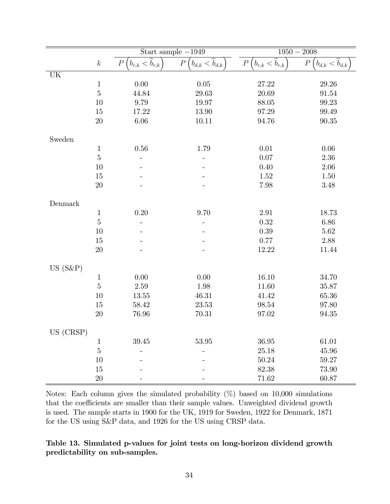|                                   |                  | Start sample $-1949$                                                              |                                                       | $1950-2008\,$                                             |                                         |
|-----------------------------------|------------------|-----------------------------------------------------------------------------------|-------------------------------------------------------|-----------------------------------------------------------|-----------------------------------------|
|                                   | $\boldsymbol{k}$ | $\left\langle \overline{b_{r,k}} \right. < \widehat{b}_{r,k}$<br>$\boldsymbol{P}$ | $\overbrace{b_{d,k}} < \widehat{b_{d,k}}$<br>$\cal P$ | $\boxed{b_{r,k} < \widehat{b}_{r,k}}$<br>$\boldsymbol{P}$ | $\boldsymbol{P}$<br>$b_{d,k} < b_{d,k}$ |
| $\ensuremath{\mathrm{UK}}\xspace$ |                  |                                                                                   |                                                       |                                                           |                                         |
|                                   | $\mathbf{1}$     | 0.00                                                                              | 0.05                                                  | 27.22                                                     | 29.26                                   |
|                                   | $\bf 5$          | 44.84                                                                             | 29.63                                                 | 20.69                                                     | 91.54                                   |
|                                   | 10               | 9.79                                                                              | 19.97                                                 | 88.05                                                     | 99.23                                   |
|                                   | 15               | 17.22                                                                             | 13.90                                                 | 97.29                                                     | 99.49                                   |
|                                   | 20               | 6.06                                                                              | 10.11                                                 | 94.76                                                     | 90.35                                   |
| Sweden                            |                  |                                                                                   |                                                       |                                                           |                                         |
|                                   | $\mathbf{1}$     | $0.56\,$                                                                          | 1.79                                                  | 0.01                                                      | 0.06                                    |
|                                   | $\bf 5$          |                                                                                   |                                                       | 0.07                                                      | 2.36                                    |
|                                   | 10               |                                                                                   |                                                       | 0.40                                                      | 2.06                                    |
|                                   | 15               |                                                                                   |                                                       | 1.52                                                      | 1.50                                    |
|                                   | 20               |                                                                                   |                                                       | 7.98                                                      | 3.48                                    |
| Denmark                           |                  |                                                                                   |                                                       |                                                           |                                         |
|                                   | $\mathbf{1}$     | 0.20                                                                              | 9.70                                                  | 2.91                                                      | 18.73                                   |
|                                   | $\overline{5}$   |                                                                                   |                                                       | 0.32                                                      | 6.86                                    |
|                                   | 10               |                                                                                   |                                                       | 0.39                                                      | 5.62                                    |
|                                   | 15               |                                                                                   |                                                       | 0.77                                                      | 2.88                                    |
|                                   | $20\,$           |                                                                                   |                                                       | 12.22                                                     | 11.44                                   |
| $US(S\&P)$                        |                  |                                                                                   |                                                       |                                                           |                                         |
|                                   | $\mathbf{1}$     | 0.00                                                                              | 0.00                                                  | 16.10                                                     | 34.70                                   |
|                                   | $\bf 5$          | 2.59                                                                              | 1.98                                                  | 11.60                                                     | 35.87                                   |
|                                   | 10               | 13.55                                                                             | 46.31                                                 | 41.42                                                     | 65.36                                   |
|                                   | 15               | 58.42                                                                             | 23.53                                                 | 98.54                                                     | 97.80                                   |
|                                   | 20               | 76.96                                                                             | 70.31                                                 | 97.02                                                     | 94.35                                   |
| US (CRSP)                         |                  |                                                                                   |                                                       |                                                           |                                         |
|                                   | $\mathbf{1}$     | $39.45\,$                                                                         | $53.95\,$                                             | 36.95                                                     | $61.01\,$                               |
|                                   | $\bf 5$          |                                                                                   |                                                       | 25.18                                                     | 45.96                                   |
|                                   | 10               |                                                                                   |                                                       | 50.24                                                     | 59.27                                   |
|                                   | 15               |                                                                                   |                                                       | 82.38                                                     | 73.90                                   |
|                                   | $20\,$           |                                                                                   |                                                       | 71.62                                                     | 60.87                                   |

Notes: Each column gives the simulated probability  $(\%)$  based on 10,000 simulations that the coefficients are smaller than their sample values. Unweighted dividend growth is used. The sample starts in 1900 for the UK, 1919 for Sweden, 1922 for Denmark, 1871 for the US using S&P data, and 1926 for the US using CRSP data.

Table 13. Simulated p-values for joint tests on long-horizon dividend growth predictability on sub-samples.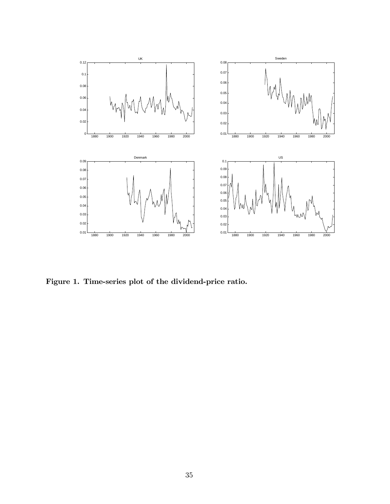

Figure 1. Time-series plot of the dividend-price ratio.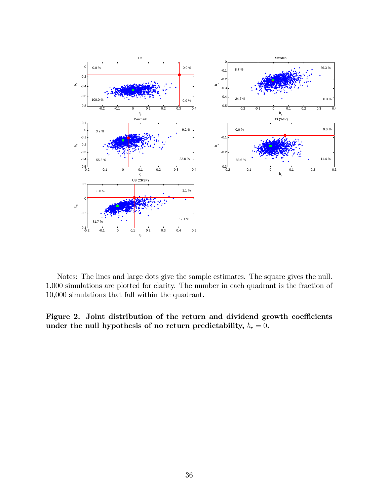

Notes: The lines and large dots give the sample estimates. The square gives the null. 1,000 simulations are plotted for clarity. The number in each quadrant is the fraction of 10,000 simulations that fall within the quadrant.

Figure 2. Joint distribution of the return and dividend growth coefficients under the null hypothesis of no return predictability,  $b_r = 0$ .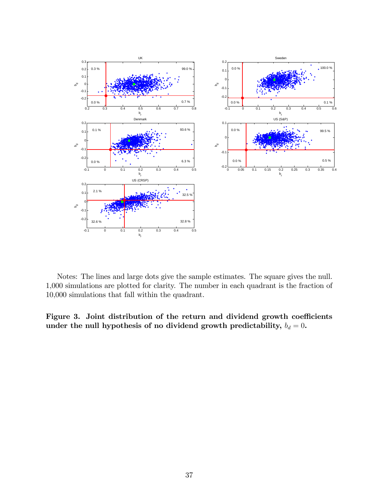

Notes: The lines and large dots give the sample estimates. The square gives the null. 1,000 simulations are plotted for clarity. The number in each quadrant is the fraction of 10,000 simulations that fall within the quadrant.

Figure 3. Joint distribution of the return and dividend growth coefficients under the null hypothesis of no dividend growth predictability,  $b_d = 0$ .